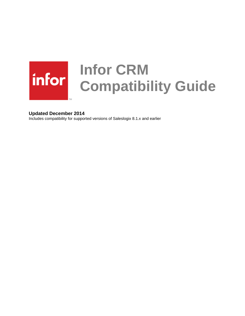# **Infor CRM Compatibility Guide**

## **Updated December 2014**

Includes compatibility for supported versions of Saleslogix 8.1.x and earlier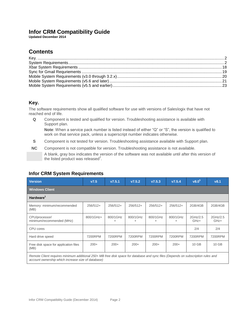# **Infor CRM Compatibility Guide**

**Updated December 2014**

# **Contents**

# <span id="page-1-0"></span>**Key.**

The software requirements show all qualified software for use with versions of Saleslogix that have not reached end of life.

**Q** Component is tested and qualified for version. Troubleshooting assistance is available with Support plan.

**Note**: When a service pack number is listed instead of either "Q" or "S", the version is qualified to work on that service pack, unless a superscript number indicates otherwise.

- **S** Component is not tested for version. Troubleshooting assistance available with Support plan.
- **NC** Component is not compatible for version. Troubleshooting assistance is not available.

A blank, gray box indicates the version of the software was not available until after this version of the listed product was released<sup>2</sup>.

## <span id="page-1-1"></span>**Infor CRM System Requirements**

| Version                                                                                                                                                                                | V7.5       | V7.5.1        | V7.5.2           | V7.5.3        | V7.5.4                | $v8.0^5$         | v8.1             |  |  |
|----------------------------------------------------------------------------------------------------------------------------------------------------------------------------------------|------------|---------------|------------------|---------------|-----------------------|------------------|------------------|--|--|
| <b>Windows Client</b>                                                                                                                                                                  |            |               |                  |               |                       |                  |                  |  |  |
| Hardware <sup>1</sup>                                                                                                                                                                  |            |               |                  |               |                       |                  |                  |  |  |
| Memory: minimum/recommended<br>(MB)                                                                                                                                                    | $256/512+$ | $256/512+$    | $256/512+$       | $256/512+$    | $256/512+$            | 2GB/4GB          | 2GB/4GB          |  |  |
| CPU/processor/<br>minimum/recommended (MHz)                                                                                                                                            | 800/1GHz+  | 800/1GHz<br>+ | 800/1GHz<br>$^+$ | 800/1GHz<br>٠ | 800/1GHz<br>$\ddot{}$ | 2GHz/2.5<br>GHz+ | 2GHz/2.5<br>GHz+ |  |  |
| CPU cores                                                                                                                                                                              |            |               |                  |               |                       | 2/4              | 2/4              |  |  |
| Hard drive speed                                                                                                                                                                       | 7200RPM    | 7200RPM       | 7200RPM          | 7200RPM       | 7200RPM               | 7200RPM          | 7200RPM          |  |  |
| Free disk space for application files<br>(MB)                                                                                                                                          | $200+$     | $200+$        | $200+$           | $200+$        | $200+$                | $10$ GB          | 10 GB            |  |  |
| Remote Client requires minimum additional 250+ MB free disk space for database and sync files (Depends on subscription rules and<br>account ownership which increase size of database) |            |               |                  |               |                       |                  |                  |  |  |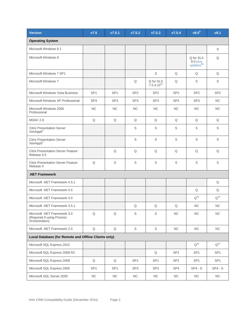| <b>Version</b>                                                               | V7.5            | V7.5.1          | V7.5.2          | V7.5.3                       | V7.5.4          | v8.0 <sup>5</sup>                              | v8.1            |
|------------------------------------------------------------------------------|-----------------|-----------------|-----------------|------------------------------|-----------------|------------------------------------------------|-----------------|
| <b>Operating System</b>                                                      |                 |                 |                 |                              |                 |                                                |                 |
| Microsoft Windows 8.1                                                        |                 |                 |                 |                              |                 |                                                | S               |
| Microsoft Windows 8                                                          |                 |                 |                 |                              |                 | Q for SLX<br>8.0 plus<br>updates <sup>24</sup> | Q               |
| Microsoft Windows 7 SP1                                                      |                 |                 |                 | $\mathbb S$                  | Q               | Q                                              | Q               |
| Microsoft Windows 7                                                          |                 |                 | Q               | Q for SLX<br>$7.5.3.10^{15}$ | Q               | S                                              | S               |
| <b>Microsoft Windows Vista Business</b>                                      | SP <sub>1</sub> | SP <sub>1</sub> | SP <sub>2</sub> | SP <sub>2</sub>              | SP <sub>2</sub> | SP <sub>2</sub>                                | SP <sub>2</sub> |
| Microsoft Windows XP Professional                                            | SP <sub>3</sub> | SP <sub>3</sub> | SP <sub>3</sub> | SP <sub>3</sub>              | SP <sub>3</sub> | SP <sub>3</sub>                                | NC.             |
| Microsoft Windows 2000<br>Professional                                       | <b>NC</b>       | <b>NC</b>       | <b>NC</b>       | <b>NC</b>                    | NC              | <b>NC</b>                                      | <b>NC</b>       |
| MDAC 2.8                                                                     | Q               | Q               | Q               | Q                            | Q               | Q                                              | Q               |
| <b>Citrix Presentation Server</b><br>XenApp6 <sup>2</sup>                    |                 |                 | S               | S                            | $\mathbb S$     | $\mathbb S$                                    | S               |
| <b>Citrix Presentation Server</b><br>XenApp5 <sup>2</sup>                    |                 |                 | S               | S                            | $\mathbb S$     | S                                              | S               |
| <b>Citrix Presentation Server Feature</b><br>Release 4.5                     |                 | Q               | Q               | Q                            | Q               | Q                                              | Q               |
| <b>Citrix Presentation Server Feature</b><br>Release 4                       | Q               | S               | S               | S                            | S               | S                                              | S               |
| <b>NET Framework</b>                                                         |                 |                 |                 |                              |                 |                                                |                 |
| Microsoft .NET Framework 4.5.1                                               |                 |                 |                 |                              |                 |                                                | Q               |
| Microsoft .NET Framework 4.5                                                 |                 |                 |                 |                              |                 | Q                                              | Q               |
| Microsoft .NET Framework 4.0                                                 |                 |                 |                 |                              |                 | $Q^{16}$                                       | $Q^{16}$        |
| Microsoft .NET Framework 3.5.1                                               |                 |                 | Q               | Q                            | Q               | <b>NC</b>                                      | NC              |
| Microsoft .NET Framework 3.0<br>(Required if using Process<br>Orchestration) | $\mathsf Q$     | Q               | $\mathbb S$     | S                            | NC              | NC                                             | NC              |
| Microsoft .NET Framework 2.0                                                 | $\mathsf Q$     | Q               | S               | S                            | NC              | NC                                             | NC              |
| Local Database (for Remote and Offline Clients only)                         |                 |                 |                 |                              |                 |                                                |                 |
| Microsoft SQL Express 2012                                                   |                 |                 |                 |                              |                 | $Q^{20}$                                       | $Q^{20}$        |
| Microsoft SQL Express 2008 R2                                                |                 |                 |                 | Q                            | SP <sub>1</sub> | SP <sub>1</sub>                                | SP <sub>1</sub> |
| Microsoft SQL Express 2008                                                   | Q               | Q               | SP <sub>1</sub> | SP <sub>1</sub>              | SP <sub>1</sub> | SP <sub>1</sub>                                | SP <sub>1</sub> |
| Microsoft SQL Express 2005                                                   | SP <sub>1</sub> | SP <sub>1</sub> | SP <sub>3</sub> | SP <sub>3</sub>              | SP4             | $SP4 - S$                                      | $SP4 - S$       |
| Microsoft SQL Server 2000                                                    | <b>NC</b>       | <b>NC</b>       | NC.             | NC                           | <b>NC</b>       | <b>NC</b>                                      | NC              |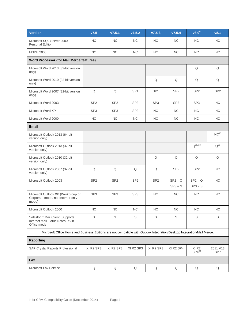| <b>Version</b>                                                                                                          | V7.5            | v7.5.1          | V7.5.2          | V7.5.3                            | V7.5.4                 | v8.0 <sup>5</sup>              | v8.1             |  |  |
|-------------------------------------------------------------------------------------------------------------------------|-----------------|-----------------|-----------------|-----------------------------------|------------------------|--------------------------------|------------------|--|--|
| Microsoft SQL Server 2000<br><b>Personal Edition</b>                                                                    | <b>NC</b>       | <b>NC</b>       | <b>NC</b>       | <b>NC</b>                         | <b>NC</b>              | <b>NC</b>                      | <b>NC</b>        |  |  |
| <b>MSDE 2000</b>                                                                                                        | NC              | NC              | NC              | $NC$                              | $\sf NC$               | $NC$                           | NC               |  |  |
| <b>Word Processor (for Mail Merge features)</b>                                                                         |                 |                 |                 |                                   |                        |                                |                  |  |  |
| Microsoft Word 2013 (32-bit version<br>only)                                                                            |                 |                 |                 |                                   |                        | Q                              | Q                |  |  |
| Microsoft Word 2010 (32-bit version<br>only)                                                                            |                 |                 |                 | Q                                 | $\mathsf Q$            | Q                              | Q                |  |  |
| Microsoft Word 2007 (32-bit version<br>only)                                                                            | Q               | Q               | SP <sub>1</sub> | SP <sub>1</sub>                   | SP <sub>2</sub>        | SP <sub>2</sub>                | SP <sub>2</sub>  |  |  |
| Microsoft Word 2003                                                                                                     | SP <sub>2</sub> | SP <sub>2</sub> | SP <sub>3</sub> | SP <sub>3</sub>                   | SP <sub>3</sub>        | SP <sub>3</sub>                | NC.              |  |  |
| Microsoft Word XP                                                                                                       | SP <sub>3</sub> | SP <sub>3</sub> | SP <sub>3</sub> | <b>NC</b>                         | <b>NC</b>              | NC.                            | <b>NC</b>        |  |  |
| Microsoft Word 2000                                                                                                     | <b>NC</b>       | NC              | <b>NC</b>       | <b>NC</b>                         | NC                     | <b>NC</b>                      | <b>NC</b>        |  |  |
| <b>Email</b>                                                                                                            |                 |                 |                 |                                   |                        |                                |                  |  |  |
| Microsoft Outlook 2013 (64-bit<br>version only)                                                                         |                 |                 |                 |                                   |                        |                                | NC <sup>10</sup> |  |  |
| Microsoft Outlook 2013 (32-bit<br>version only)                                                                         |                 |                 |                 |                                   |                        | $Q^{26, 28}$                   | $Q^{26}$         |  |  |
| Microsoft Outlook 2010 (32-bit<br>version only)                                                                         |                 |                 |                 | Q                                 | $\mathsf Q$            | $\mathsf Q$                    | Q                |  |  |
| Microsoft Outlook 2007 (32-bit<br>version only)                                                                         | $\mathsf Q$     | $\mathsf Q$     | Q               | $\mathsf Q$                       | SP <sub>2</sub>        | SP <sub>2</sub>                | NC               |  |  |
| Microsoft Outlook 2003                                                                                                  | SP <sub>2</sub> | SP <sub>2</sub> | SP <sub>2</sub> | SP <sub>2</sub>                   | $SP2 = Q$<br>$SP3 = S$ | $SP2 = Q$<br>$SP3 = S$         | <b>NC</b>        |  |  |
| Microsoft Outlook XP (Workgroup or<br>Corporate mode, not Internet-only<br>mode)                                        | SP <sub>3</sub> | SP <sub>3</sub> | SP <sub>3</sub> | NC                                | NC                     | <b>NC</b>                      | NC               |  |  |
| Microsoft Outlook 2000                                                                                                  | <b>NC</b>       | NC              | <b>NC</b>       | NC                                | NC                     | NC                             | <b>NC</b>        |  |  |
| Saleslogix Mail Client (Supports<br>Internet mail, Lotus Notes R5 in<br>Office mode                                     | S               | S               | $\mathbb S$     | $\mathbb S$                       | $\mathbb S$            | $\mathbb S$                    | S                |  |  |
| Microsoft Office Home and Business Editions are not compatible with Outlook Integration/Desktop Integration/Mail Merge. |                 |                 |                 |                                   |                        |                                |                  |  |  |
| <b>Reporting</b>                                                                                                        |                 |                 |                 |                                   |                        |                                |                  |  |  |
| SAP Crystal Reports Professional                                                                                        | XI R2 SP3       | XI R2 SP3       | XI R2 SP3       | XI R <sub>2</sub> SP <sub>3</sub> | XI R2 SP4              | XI <sub>R2</sub><br>$SP4^{22}$ | 2011 V13<br>SP7  |  |  |
| Fax                                                                                                                     |                 |                 |                 |                                   |                        |                                |                  |  |  |
| Microsoft Fax Service                                                                                                   | Q               | Q               | Q               | Q                                 | Q                      | Q                              | Q                |  |  |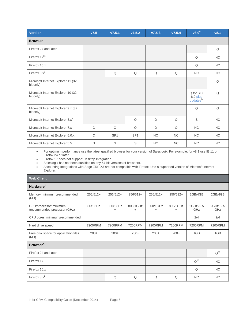| Version                                          | V7.5 | V7.5.1          | V7.5.2          | V7.5.3    | V7.5.4    | v8.0 <sup>5</sup>                             | v8.1      |
|--------------------------------------------------|------|-----------------|-----------------|-----------|-----------|-----------------------------------------------|-----------|
| <b>Browser</b>                                   |      |                 |                 |           |           |                                               |           |
| Firefox 24 and later                             |      |                 |                 |           |           |                                               | Q         |
| Firefox 17 <sup>25</sup>                         |      |                 |                 |           |           | Q                                             | <b>NC</b> |
| Firefox 10.x                                     |      |                 |                 |           |           | Q                                             | <b>NC</b> |
| Firefox $3.x^3$                                  |      | Q               | Q               | Q         | Q         | NC                                            | <b>NC</b> |
| Microsoft Internet Explorer 11 (32<br>bit only)  |      |                 |                 |           |           |                                               | Q         |
| Microsoft Internet Explorer 10 (32<br>bit only)  |      |                 |                 |           |           | Q for SLX<br>8.0 plus<br>update <sup>24</sup> | $\Omega$  |
| Microsoft Internet Explorer 9.x (32<br>bit only) |      |                 |                 |           |           | Q                                             | Q         |
| Microsoft Internet Explorer 8.x <sup>4</sup>     |      |                 | Q               | Q         | Q         | S                                             | <b>NC</b> |
| Microsoft Internet Explorer 7.x                  | Q    | Q               | Q               | Q         | Q         | <b>NC</b>                                     | <b>NC</b> |
| Microsoft Internet Explorer 6.0.x                | Q    | SP <sub>1</sub> | SP <sub>1</sub> | <b>NC</b> | <b>NC</b> | <b>NC</b>                                     | <b>NC</b> |
| Microsoft Internet Explorer 5.5                  | S    | S               | S               | <b>NC</b> | <b>NC</b> | <b>NC</b>                                     | <b>NC</b> |

 For optimum performance use the latest qualified browser for your version of Saleslogix. For example, for v8.1 use IE 11 or Firefox 24 or later.

**Firefox 17 does not support Desktop Integration.** 

Saleslogix has not been qualified on any 64-bit versions of browsers.

 Accounting Integrations with Sage ERP X3 are not compatible with Firefox. Use a supported version of Microsoft Internet Explorer.

| <b>Web Client</b>                                      |            |                       |                       |                       |                       |                  |                  |  |  |
|--------------------------------------------------------|------------|-----------------------|-----------------------|-----------------------|-----------------------|------------------|------------------|--|--|
| Hardware <sup>1</sup>                                  |            |                       |                       |                       |                       |                  |                  |  |  |
| Memory: minimum /recommended<br>(MB)                   | $256/512+$ | 256/512+              | 256/512+              | $256/512+$            | 256/512+              | 2GB/4GB          | 2GB/4GB          |  |  |
| CPU/processor: minimum<br>/recommended processor (GHz) | 800/1GHz+  | 800/1GHz<br>$\ddot{}$ | 800/1GHz<br>$\ddot{}$ | 800/1GHz<br>$\ddot{}$ | 800/1GHz<br>$\ddot{}$ | 2GHz /2.5<br>GHz | 2GHz /2.5<br>GHz |  |  |
| CPU cores: minimum/recommended                         |            |                       |                       |                       |                       | 2/4              | 2/4              |  |  |
| Hard drive speed                                       | 7200RPM    | 7200RPM               | 7200RPM               | 7200RPM               | 7200RPM               | 7200RPM          | 7200RPM          |  |  |
| Free disk space for application files<br>(MB)          | $200+$     | $200+$                | $200+$                | $200+$                | $200+$                | 1GB              | 1GB              |  |  |
| Browser <sup>30</sup>                                  |            |                       |                       |                       |                       |                  |                  |  |  |
| Firefox 24 and later                                   |            |                       |                       |                       |                       |                  | $Q^{30}$         |  |  |
| Firefox 17                                             |            |                       |                       |                       |                       | $Q^{25}$         | <b>NC</b>        |  |  |
| Firefox 10.x                                           |            |                       |                       |                       |                       | Q                | <b>NC</b>        |  |  |
| Firefox $3.x^3$                                        |            | Q                     | Q                     | Q                     | Q                     | <b>NC</b>        | <b>NC</b>        |  |  |
|                                                        |            |                       |                       |                       |                       |                  |                  |  |  |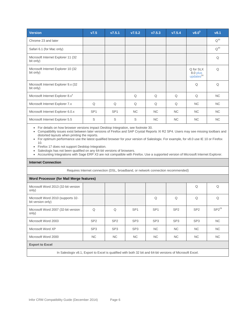| <b>Version</b>                                    | V7.5            | V7.5.1          | V7.5.2    | V7.5.3    | V7.5.4    | v8.0 <sup>5</sup>                              | v8.1      |
|---------------------------------------------------|-----------------|-----------------|-----------|-----------|-----------|------------------------------------------------|-----------|
| Chrome 23 and later                               |                 |                 |           |           |           |                                                | $Q^{30}$  |
| Safari 6.1 (for Mac only)                         |                 |                 |           |           |           |                                                | $Q^{30}$  |
| Microsoft Internet Explorer 11 (32)<br>bit only)  |                 |                 |           |           |           |                                                | Q         |
| Microsoft Internet Explorer 10 (32<br>bit only)   |                 |                 |           |           |           | Q for SLX<br>8.0 plus<br>updates <sup>24</sup> | Q         |
| Microsoft Internet Explorer 9.x (32)<br>bit only) |                 |                 |           |           |           | Q                                              | $\Omega$  |
| Microsoft Internet Explorer 8.x <sup>4</sup>      |                 |                 | Q         | Q         | Q         | Q                                              | NC.       |
| Microsoft Internet Explorer 7.x                   | Q               | Q               | Q         | Q         | Q         | <b>NC</b>                                      | <b>NC</b> |
| Microsoft Internet Explorer 6.0.x                 | SP <sub>1</sub> | SP <sub>1</sub> | <b>NC</b> | <b>NC</b> | <b>NC</b> | <b>NC</b>                                      | NC.       |
| Microsoft Internet Explorer 5.5                   | S               | S               | S         | <b>NC</b> | <b>NC</b> | <b>NC</b>                                      | <b>NC</b> |

For details on how browser versions impact Desktop Integration, see footnote 30.

 Compatibility issues exist between later versions of Firefox and SAP Crystal Reports XI R2 SP4. Users may see missing toolbars and distorted layouts when printing the reports.

 For optimum performance use the latest qualified browser for your version of Saleslogix. For example, for v8.0 use IE 10 or Firefox 10.

• Firefox 17 does not support Desktop Integration.

Saleslogix has not been qualified on any 64-bit versions of browsers.

Accounting Integrations with Sage ERP X3 are not compatible with Firefox. Use a supported version of Microsoft Internet Explorer.

#### **Internet Connection**

Requires Internet connection (DSL, broadband, or network connection recommended)

#### **Word Processor (for Mail Merge features)**

| Microsoft Word 2013 (32-bit version<br>only)           |                 |                 |                 |                 |                 | Q               | Q          |  |
|--------------------------------------------------------|-----------------|-----------------|-----------------|-----------------|-----------------|-----------------|------------|--|
| Microsoft Word 2010 (supports 32-<br>bit version only) |                 |                 |                 | $\Omega$        | Q               | Q               | Q          |  |
| Microsoft Word 2007 (32-bit version<br>only)           | Q               | Q               | SP <sub>1</sub> | SP <sub>1</sub> | SP <sub>2</sub> | SP <sub>2</sub> | $SP2^{29}$ |  |
| Microsoft Word 2003                                    | SP <sub>2</sub> | SP <sub>2</sub> | SP <sub>3</sub> | SP <sub>3</sub> | SP <sub>3</sub> | SP <sub>3</sub> | <b>NC</b>  |  |
| Microsoft Word XP                                      | SP <sub>3</sub> | SP <sub>3</sub> | SP <sub>3</sub> | NC.             | <b>NC</b>       | <b>NC</b>       | <b>NC</b>  |  |
| Microsoft Word 2000                                    | <b>NC</b>       | NC.             | NC.             | NC.             | <b>NC</b>       | <b>NC</b>       | <b>NC</b>  |  |
| <b>Export to Excel</b>                                 |                 |                 |                 |                 |                 |                 |            |  |

In Saleslogix v8.1, Export to Excel is qualified with both 32 bit and 64-bit versions of Microsoft Excel.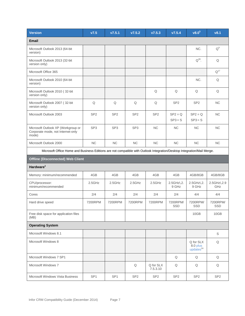| <b>Version</b>                                                                                                          | V7.5            | V7.5.1          | V7.5.2          | V7.5.3                | V7.5.4                 | $\sqrt{8.0^5}$                                 | v8.1                   |
|-------------------------------------------------------------------------------------------------------------------------|-----------------|-----------------|-----------------|-----------------------|------------------------|------------------------------------------------|------------------------|
| Email                                                                                                                   |                 |                 |                 |                       |                        |                                                |                        |
| Microsoft Outlook 2013 (64-bit<br>version)                                                                              |                 |                 |                 |                       |                        | NC.                                            | $Q^9$                  |
| Microsoft Outlook 2013 (32-bit<br>version only)                                                                         |                 |                 |                 |                       |                        | $Q^{28}$ .                                     | Q                      |
| Microsoft Office 365                                                                                                    |                 |                 |                 |                       |                        |                                                | $Q^{17}$               |
| Microsoft Outlook 2010 (64-bit<br>version)                                                                              |                 |                 |                 |                       |                        | NC.                                            | Q                      |
| Microsoft Outlook 2010 (32-bit<br>version only)                                                                         |                 |                 |                 | Q                     | Q                      | Q                                              | Q                      |
| Microsoft Outlook 2007 (32-bit<br>version only)                                                                         | Q               | Q               | Q               | Q                     | SP <sub>2</sub>        | SP <sub>2</sub>                                | <b>NC</b>              |
| Microsoft Outlook 2003                                                                                                  | SP <sub>2</sub> | SP <sub>2</sub> | SP <sub>2</sub> | SP <sub>2</sub>       | $SP2 = Q$<br>$SP3 = S$ | $SP2 = Q$<br>$SP3 = S$                         | <b>NC</b>              |
| Microsoft Outlook XP (Workgroup or<br>Corporate mode, not Internet-only<br>mode)                                        | SP <sub>3</sub> | SP <sub>3</sub> | SP <sub>3</sub> | <b>NC</b>             | NC                     | <b>NC</b>                                      | <b>NC</b>              |
| Microsoft Outlook 2000                                                                                                  | NC              | $NC$            | NC              | $NC$                  | $\sf NC$               | NC                                             | NC                     |
| Microsoft Office Home and Business Editions are not compatible with Outlook Integration/Desktop Integration/Mail Merge. |                 |                 |                 |                       |                        |                                                |                        |
| <b>Offline (Disconnected) Web Client</b>                                                                                |                 |                 |                 |                       |                        |                                                |                        |
| Hardware <sup>1</sup>                                                                                                   |                 |                 |                 |                       |                        |                                                |                        |
| Memory: minimum/recommended                                                                                             | 4GB             | 4GB             | 4GB             | 4GB                   | 4GB                    | 4GB/8GB                                        | 4GB/8GB                |
| CPU/processor:<br>minimum/recommended                                                                                   | 2.5GHz          | 2.5GHz          | 2.5GHz          | 2.5GHz                | 2.5GHz\,2.<br>9 GHz    | 2.5GHz\,2.<br>9 GHz                            | 2.5GHz\, 2.9<br>GHz    |
| Cores                                                                                                                   | 2/4             | 2/4             | 2/4             | 2/4                   | 2/4                    | 4/4                                            | 4/4                    |
| Hard drive speed                                                                                                        | 7200RPM         | 7200RPM         | 7200RPM         | 7200RPM               | 7200RPM/<br><b>SSD</b> | 7200RPM/<br>SSD                                | 7200RPM/<br><b>SSD</b> |
| Free disk space for application files<br>(MB)                                                                           |                 |                 |                 |                       |                        | 10GB                                           | 10GB                   |
| <b>Operating System</b>                                                                                                 |                 |                 |                 |                       |                        |                                                |                        |
| Microsoft Windows 8.1                                                                                                   |                 |                 |                 |                       |                        |                                                | S                      |
| Microsoft Windows 8                                                                                                     |                 |                 |                 |                       |                        | Q for SLX<br>8.0 plus<br>updates <sup>24</sup> | Q                      |
| Microsoft Windows 7 SP1                                                                                                 |                 |                 |                 |                       | Q                      | Q                                              | Q                      |
| Microsoft Windows 7                                                                                                     |                 |                 | Q               | Q for SLX<br>7.5.3.10 | Q                      | Q                                              | Q                      |
| Microsoft Windows Vista Business                                                                                        | SP <sub>1</sub> | SP <sub>1</sub> | SP <sub>2</sub> | SP <sub>2</sub>       | SP <sub>2</sub>        | SP <sub>2</sub>                                | SP <sub>2</sub>        |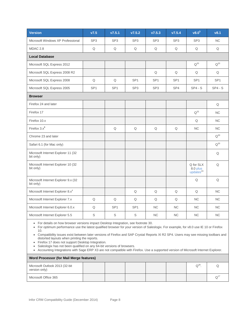| V7.5            | v7.5.1          | V7.5.2                | V7.5.3          | V7.5.4                | v8.0 <sup>5</sup>                              | v8.1              |
|-----------------|-----------------|-----------------------|-----------------|-----------------------|------------------------------------------------|-------------------|
| SP <sub>3</sub> | SP <sub>3</sub> | SP <sub>3</sub>       | SP <sub>3</sub> | SP <sub>3</sub>       | SP <sub>3</sub>                                | <b>NC</b>         |
| Q               | $\mathsf Q$     | Q                     | Q               | $\mathsf Q$           | Q                                              | Q                 |
|                 |                 |                       |                 |                       |                                                |                   |
|                 |                 |                       |                 |                       | $Q^{20}$                                       | $Q^{20}$          |
|                 |                 |                       | Q               | Q                     | Q                                              | Q                 |
| Q               | Q               | SP <sub>1</sub>       | SP <sub>1</sub> | SP <sub>1</sub>       | SP <sub>1</sub>                                | SP <sub>1</sub>   |
| SP <sub>1</sub> | SP <sub>1</sub> | SP <sub>3</sub>       | SP <sub>3</sub> | SP <sub>4</sub>       | $SP4 - S$                                      | $SP4 - S$         |
|                 |                 |                       |                 |                       |                                                |                   |
|                 |                 |                       |                 |                       |                                                | Q                 |
|                 |                 |                       |                 |                       | $Q^{25}$                                       | <b>NC</b>         |
|                 |                 |                       |                 |                       | Q                                              | <b>NC</b>         |
|                 | $\mathsf Q$     | Q                     | Q               | Q                     | <b>NC</b>                                      | <b>NC</b>         |
|                 |                 |                       |                 |                       |                                                | $Q^{30}$          |
|                 |                 |                       |                 |                       |                                                | $\mathsf{Q}^{30}$ |
|                 |                 |                       |                 |                       |                                                | Q                 |
|                 |                 |                       |                 |                       | Q for SLX<br>8.0 plus<br>updates <sup>24</sup> | Q                 |
|                 |                 |                       |                 |                       | Q                                              | Q                 |
|                 |                 | $\hbox{\large \bf Q}$ | $\mathsf Q$     | $\hbox{\large \bf Q}$ | $\hbox{\large \bf Q}$                          | NC                |
| $\mathsf Q$     | $\mathsf Q$     | Q                     | Q               | Q                     | $NC$                                           | NC                |
| $\mathsf Q$     | SP <sub>1</sub> | SP <sub>1</sub>       | $NC$            | <b>NC</b>             | NC.                                            | NC.               |
| $\mathsf S$     | S               | S                     | <b>NC</b>       | <b>NC</b>             | NC.                                            | NC.               |
|                 | $\sim$          | $\sim$<br>$\sim$      | $\sim$          | $\sim$ $\sim$         |                                                |                   |

For details on how browser versions impact Desktop Integration, see footnote 30.

 For optimum performance use the latest qualified browser for your version of Saleslogix. For example, for v8.0 use IE 10 or Firefox 10.

 Compatibility issues exist between later versions of Firefox and SAP Crystal Reports XI R2 SP4. Users may see missing toolbars and distorted layouts when printing the reports.

• Firefox 17 does not support Desktop Integration.

• Saleslogix has not been qualified on any 64-bit versions of browsers.

• Accounting Integrations with Sage ERP X3 are not compatible with Firefox. Use a supported version of Microsoft Internet Explorer.

| Word Processor (for Mail Merge features)        |  |  |  |  |  |            |  |  |
|-------------------------------------------------|--|--|--|--|--|------------|--|--|
| Microsoft Outlook 2013 (32-bit<br>version only) |  |  |  |  |  | $Q^{28}$ . |  |  |
| Microsoft Office 365                            |  |  |  |  |  |            |  |  |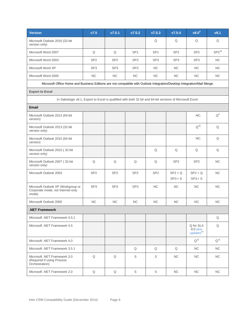| <b>Version</b>                                                                                                          | V7.5            | V7.5.1          | V7.5.2          | V7.5.3          | V7.5.4                 | v8.0 <sup>5</sup>                             | v8.1       |  |  |  |  |
|-------------------------------------------------------------------------------------------------------------------------|-----------------|-----------------|-----------------|-----------------|------------------------|-----------------------------------------------|------------|--|--|--|--|
| Microsoft Outlook 2010 (32-bit<br>version only)                                                                         |                 |                 |                 | Q               | Q                      | Q                                             | Q          |  |  |  |  |
| Microsoft Word 2007                                                                                                     | Q               | Q               | SP <sub>1</sub> | SP <sub>1</sub> | SP <sub>2</sub>        | SP <sub>2</sub>                               | $SP2^{29}$ |  |  |  |  |
| Microsoft Word 2003                                                                                                     | SP <sub>2</sub> | SP <sub>2</sub> | SP <sub>3</sub> | SP <sub>3</sub> | SP <sub>3</sub>        | SP <sub>3</sub>                               | <b>NC</b>  |  |  |  |  |
| Microsoft Word XP                                                                                                       | SP <sub>3</sub> | SP <sub>3</sub> | SP <sub>3</sub> | <b>NC</b>       | NC.                    | <b>NC</b>                                     | <b>NC</b>  |  |  |  |  |
| Microsoft Word 2000                                                                                                     | NC              | NC              | NC              | NC              | NC                     | <b>NC</b>                                     | NC.        |  |  |  |  |
| Microsoft Office Home and Business Editions are not compatible with Outlook Integration/Desktop Integration/Mail Merge. |                 |                 |                 |                 |                        |                                               |            |  |  |  |  |
| <b>Export to Excel</b>                                                                                                  |                 |                 |                 |                 |                        |                                               |            |  |  |  |  |
| In Saleslogix v8.1, Export to Excel is qualified with both 32 bit and 64-bit versions of Microsoft Excel.               |                 |                 |                 |                 |                        |                                               |            |  |  |  |  |
| <b>Email</b>                                                                                                            |                 |                 |                 |                 |                        |                                               |            |  |  |  |  |
| Microsoft Outlook 2013 (64-bit<br>version)                                                                              |                 |                 |                 |                 |                        | NC.                                           | $Q^9$      |  |  |  |  |
| Microsoft Outlook 2013 (32-bit<br>version only)                                                                         |                 |                 |                 |                 |                        | $Q^{28}$ .                                    | Q          |  |  |  |  |
| Microsoft Outlook 2010 (64-bit<br>version)                                                                              |                 |                 |                 |                 |                        | NC.                                           | Q          |  |  |  |  |
| Microsoft Outlook 2010 (32-bit<br>version only)                                                                         |                 |                 |                 | Q               | Q                      | Q                                             | Q          |  |  |  |  |
| Microsoft Outlook 2007 (32-bit<br>version only)                                                                         | Q               | Q               | Q               | Q               | SP <sub>2</sub>        | SP <sub>2</sub>                               | <b>NC</b>  |  |  |  |  |
| Microsoft Outlook 2003                                                                                                  | SP <sub>2</sub> | SP <sub>2</sub> | SP <sub>2</sub> | SP <sub>2</sub> | $SP2 = Q$<br>$SP3 = S$ | $SP2 = Q$<br>$SP3 = S$                        | <b>NC</b>  |  |  |  |  |
| Microsoft Outlook XP (Workgroup or<br>Corporate mode, not Internet-only<br>mode)                                        | SP <sub>3</sub> | SP <sub>3</sub> | SP <sub>3</sub> | <b>NC</b>       | <b>NC</b>              | <b>NC</b>                                     | <b>NC</b>  |  |  |  |  |
| Microsoft Outlook 2000                                                                                                  | NC              | <b>NC</b>       | <b>NC</b>       | <b>NC</b>       | NC                     | <b>NC</b>                                     | <b>NC</b>  |  |  |  |  |
| .NET Framework                                                                                                          |                 |                 |                 |                 |                        |                                               |            |  |  |  |  |
| Microsoft .NET Framework 4.5.1                                                                                          |                 |                 |                 |                 |                        |                                               | Q          |  |  |  |  |
| Microsoft .NET Framework 4.5                                                                                            |                 |                 |                 |                 |                        | Q for SLX<br>8.0 plus<br>update <sup>24</sup> | Q          |  |  |  |  |
| Microsoft .NET Framework 4.0                                                                                            |                 |                 |                 |                 |                        | $Q^{16}$                                      | $Q^{16}$   |  |  |  |  |
| Microsoft .NET Framework 3.5.1                                                                                          |                 |                 | Q               | Q               | Q                      | NC.                                           | NC.        |  |  |  |  |
| Microsoft .NET Framework 3.0<br>(Required if using Process<br>Orchestration)                                            | Q               | Q               | S               | S               | NC.                    | NC.                                           | NC.        |  |  |  |  |
| Microsoft .NET Framework 2.0                                                                                            | Q               | Q               | S               | S               | NC                     | NC.                                           | NC.        |  |  |  |  |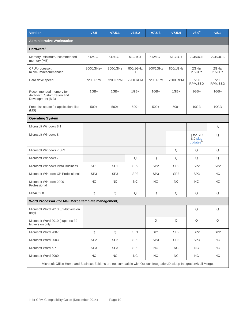| <b>Version</b>                                                                                                          | V7.5            | V7.5.1          | V7.5.2                | V7.5.3                | V7.5.4                | $v8.0^{5}$                                     | v8.1            |  |
|-------------------------------------------------------------------------------------------------------------------------|-----------------|-----------------|-----------------------|-----------------------|-----------------------|------------------------------------------------|-----------------|--|
| <b>Administrative Workstation</b>                                                                                       |                 |                 |                       |                       |                       |                                                |                 |  |
| Hardware <sup>1</sup>                                                                                                   |                 |                 |                       |                       |                       |                                                |                 |  |
| Memory: minimum/recommended<br>memory (MB)                                                                              | $512/1G+$       | $512/1G+$       | $512/1G+$             | $512/1G+$             | $512/1G+$             | 2GB/4GB                                        | 2GB/4GB         |  |
| CPU/processor:<br>minimum/recommended                                                                                   | 800/1GHz+       | 800/1GHz<br>$+$ | 800/1GHz<br>$\ddot{}$ | 800/1GHz<br>$\ddot{}$ | 800/1GHz<br>$\ddot{}$ | 2GHz/<br>2.5GHz                                | 2GHz/<br>2.5GHz |  |
| Hard drive speed                                                                                                        | 7200 RPM        | 7200 RPM        | 7200 RPM              | 7200 RPM              | 7200 RPM              | 7200<br>RPM/SSD                                | 7200<br>RPM/SSD |  |
| Recommended memory for<br>Architect Customization and<br>Development (MB)                                               | $1GB+$          | $1GB+$          | $1GB+$                | $1GB+$                | $1GB+$                | $1GB+$                                         | $1GB+$          |  |
| Free disk space for application files<br>(MB)                                                                           | $500+$          | $500+$          | $500+$                | $500+$                | $500+$                | 10GB                                           | 10GB            |  |
| <b>Operating System</b>                                                                                                 |                 |                 |                       |                       |                       |                                                |                 |  |
| Microsoft Windows 8.1                                                                                                   |                 |                 |                       |                       |                       |                                                | S               |  |
| Microsoft Windows 8                                                                                                     |                 |                 |                       |                       |                       | Q for SLX<br>8.0 plus<br>updates <sup>24</sup> | Q               |  |
| Microsoft Windows 7 SP1                                                                                                 |                 |                 |                       |                       | Q                     | Q                                              | Q               |  |
| Microsoft Windows 7                                                                                                     |                 |                 | Q                     | Q                     | Q                     | Q                                              | Q               |  |
| Microsoft Windows Vista Business                                                                                        | SP <sub>1</sub> | SP <sub>1</sub> | SP <sub>2</sub>       | SP <sub>2</sub>       | SP <sub>2</sub>       | SP <sub>2</sub>                                | SP <sub>2</sub> |  |
| Microsoft Windows XP Professional                                                                                       | SP <sub>3</sub> | SP <sub>3</sub> | SP <sub>3</sub>       | SP <sub>3</sub>       | SP <sub>3</sub>       | SP <sub>3</sub>                                | <b>NC</b>       |  |
| Microsoft Windows 2000<br>Professional                                                                                  | NC              | NC              | <b>NC</b>             | NC                    | NC                    | <b>NC</b>                                      | <b>NC</b>       |  |
| MDAC 2.8                                                                                                                | Q               | Q               | Q                     | Q                     | Q                     | Q                                              | Q               |  |
| Word Processor (for Mail Merge template management)                                                                     |                 |                 |                       |                       |                       |                                                |                 |  |
| Microsoft Word 2013 (32-bit version<br>only)                                                                            |                 |                 |                       |                       |                       | Q                                              | Q               |  |
| Microsoft Word 2010 (supports 32-<br>bit version only)                                                                  |                 |                 |                       | Q                     | $\mathsf Q$           | Q                                              | Q               |  |
| Microsoft Word 2007                                                                                                     | Q               | Q               | SP <sub>1</sub>       | SP <sub>1</sub>       | SP <sub>2</sub>       | SP <sub>2</sub>                                | SP <sub>2</sub> |  |
| Microsoft Word 2003                                                                                                     | SP <sub>2</sub> | SP <sub>2</sub> | SP <sub>3</sub>       | SP <sub>3</sub>       | SP <sub>3</sub>       | SP <sub>3</sub>                                | NC.             |  |
| Microsoft Word XP                                                                                                       | SP <sub>3</sub> | SP <sub>3</sub> | SP <sub>3</sub>       | <b>NC</b>             | NC                    | NC                                             | NC              |  |
| Microsoft Word 2000                                                                                                     | NC              | NC              | NC                    | <b>NC</b>             | NC                    | NC                                             | NC              |  |
| Microsoft Office Home and Business Editions are not compatible with Outlook Integration/Desktop Integration/Mail Merge. |                 |                 |                       |                       |                       |                                                |                 |  |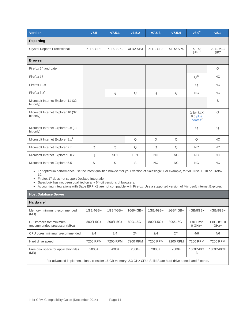| <b>Version</b>                                                                                                                        | V7.5                              | V7.5.1          | V7.5.2                            | V7.5.3                            | V7.5.4                            | v8.0 <sup>5</sup>                             | v8.1            |  |
|---------------------------------------------------------------------------------------------------------------------------------------|-----------------------------------|-----------------|-----------------------------------|-----------------------------------|-----------------------------------|-----------------------------------------------|-----------------|--|
| <b>Reporting</b>                                                                                                                      |                                   |                 |                                   |                                   |                                   |                                               |                 |  |
| <b>Crystal Reports Professional</b>                                                                                                   | XI R <sub>2</sub> SP <sub>3</sub> | XI R2 SP3       | XI R <sub>2</sub> SP <sub>3</sub> | XI R <sub>2</sub> SP <sub>3</sub> | XI R <sub>2</sub> SP <sub>4</sub> | XI <sub>R2</sub><br>$SP4^{22}$                | 2011 V13<br>SP7 |  |
| <b>Browser</b>                                                                                                                        |                                   |                 |                                   |                                   |                                   |                                               |                 |  |
| Firefox 24 and Later                                                                                                                  |                                   |                 |                                   |                                   |                                   |                                               | Q               |  |
| Firefox 17                                                                                                                            |                                   |                 |                                   |                                   |                                   | $Q^{25}$                                      | <b>NC</b>       |  |
| Firefox 10.x                                                                                                                          |                                   |                 |                                   |                                   |                                   | Q                                             | <b>NC</b>       |  |
| Firefox $3.x^3$                                                                                                                       |                                   | Q               | Q                                 | Q                                 | Q                                 | <b>NC</b>                                     | <b>NC</b>       |  |
| Microsoft Internet Explorer 11 (32)<br>bit only)                                                                                      |                                   |                 |                                   |                                   |                                   |                                               | S               |  |
| Microsoft Internet Explorer 10 (32<br>bit only)                                                                                       |                                   |                 |                                   |                                   |                                   | Q for SLX<br>8.0 plus<br>update <sup>24</sup> | Q               |  |
| Microsoft Internet Explorer 9.x (32<br>bit only)                                                                                      |                                   |                 |                                   |                                   |                                   | Q                                             | Q               |  |
| Microsoft Internet Explorer 8.x <sup>4</sup>                                                                                          |                                   |                 | Q                                 | Q                                 | Q                                 | Q                                             | $NC$            |  |
| Microsoft Internet Explorer 7.x                                                                                                       | Q                                 | Q               | Q                                 | Q                                 | Q                                 | <b>NC</b>                                     | NC              |  |
| Microsoft Internet Explorer 6.0.x                                                                                                     | Q                                 | SP <sub>1</sub> | SP <sub>1</sub>                   | <b>NC</b>                         | NC.                               | <b>NC</b>                                     | <b>NC</b>       |  |
| Microsoft Internet Explorer 5.5                                                                                                       | $\mathbb S$                       | $\mathbb S$     | S                                 | <b>NC</b>                         | NC.                               | <b>NC</b>                                     | <b>NC</b>       |  |
| • For optimum performance use the latest qualified browser for your version of Saleslogix. For example, for v8.0 use IE 10 or Firefox |                                   |                 |                                   |                                   |                                   |                                               |                 |  |

 For optimum performance use the latest qualified browser for your version of Saleslogix. For example, for v8.0 use IE 10 or Firefox 10.

• Firefox 17 does not support Desktop Integration.

Saleslogix has not been qualified on any 64-bit versions of browsers.

Accounting Integrations with Sage ERP X3 are not compatible with Firefox. Use a supported version of Microsoft Internet Explorer.

### **Host Database Server**

| Hardware <sup>1</sup>                                                                                        |             |             |             |             |           |                                    |                                   |  |
|--------------------------------------------------------------------------------------------------------------|-------------|-------------|-------------|-------------|-----------|------------------------------------|-----------------------------------|--|
| Memory: minimum/recommended<br>(MB)                                                                          | $1GB/4GB+$  | 1GB/4GB+    | $1GB/4GB+$  | 1GB/4GB+    | 1GB/4GB+  | 4GB/8GB+                           | 4GB/8GB+                          |  |
| CPU/processor: minimum<br>/recommended processor (MHz)                                                       | $800/1.5G+$ | $800/1.5G+$ | $800/1.5G+$ | $800/1.5G+$ | 800/1.5G+ | $1.8$ GHz $\lambda$ 2.<br>$0$ GHz+ | $1.8$ GHz $\lambda$ 2.0<br>$GHz+$ |  |
| CPU cores: minimum/recommended                                                                               | 2/4         | 2/4         | 2/4         | 2/4         | 2/4       | 4/6                                | 4/6                               |  |
| Hard drive speed                                                                                             | 7200 RPM    | 7200 RPM    | 7200 RPM    | 7200 RPM    | 7200 RPM  | 7200 RPM                           | 7200 RPM                          |  |
| Free disk space for application files<br>(MB)                                                                | $2000+$     | $2000+$     | $2000+$     | $2000+$     | $2000+$   | 10GB\40G<br>B                      | 10GB\40GB                         |  |
| For advanced implementations, consider 16 GB memory, 2.3 GHz CPU, Solid State hard drive speed, and 8 cores. |             |             |             |             |           |                                    |                                   |  |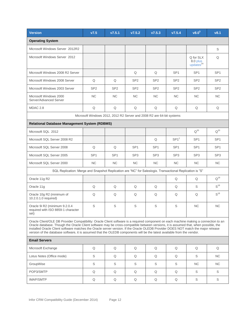| <b>Version</b>                                                                                                                                                                                                                                                                                                                                                                                                                                                                                                                               | V7.5                                                                  | V7.5.1          | V7.5.2          | V7.5.3          | V7.5.4           | V8.0 <sup>5</sup>                              | v8.1            |  |  |
|----------------------------------------------------------------------------------------------------------------------------------------------------------------------------------------------------------------------------------------------------------------------------------------------------------------------------------------------------------------------------------------------------------------------------------------------------------------------------------------------------------------------------------------------|-----------------------------------------------------------------------|-----------------|-----------------|-----------------|------------------|------------------------------------------------|-----------------|--|--|
| <b>Operating System</b>                                                                                                                                                                                                                                                                                                                                                                                                                                                                                                                      |                                                                       |                 |                 |                 |                  |                                                |                 |  |  |
| Microsoft Windows Server 2012R2                                                                                                                                                                                                                                                                                                                                                                                                                                                                                                              |                                                                       |                 |                 |                 |                  |                                                | S               |  |  |
| Microsoft Windows Server 2012                                                                                                                                                                                                                                                                                                                                                                                                                                                                                                                |                                                                       |                 |                 |                 |                  | Q for SLX<br>8.0 plus<br>updates <sup>24</sup> | Q               |  |  |
| Microsoft Windows 2008 R2 Server                                                                                                                                                                                                                                                                                                                                                                                                                                                                                                             |                                                                       |                 | Q               | Q               | SP <sub>1</sub>  | SP <sub>1</sub>                                | SP <sub>1</sub> |  |  |
| Microsoft Windows 2008 Server                                                                                                                                                                                                                                                                                                                                                                                                                                                                                                                | Q                                                                     | Q               | SP <sub>2</sub> | SP <sub>2</sub> | SP <sub>2</sub>  | SP <sub>2</sub>                                | SP <sub>2</sub> |  |  |
| Microsoft Windows 2003 Server                                                                                                                                                                                                                                                                                                                                                                                                                                                                                                                | SP <sub>2</sub>                                                       | SP <sub>2</sub> | SP <sub>2</sub> | SP <sub>2</sub> | SP <sub>2</sub>  | SP <sub>2</sub>                                | SP <sub>2</sub> |  |  |
| Microsoft Windows 2000<br>Server/Advanced Server                                                                                                                                                                                                                                                                                                                                                                                                                                                                                             | <b>NC</b>                                                             | <b>NC</b>       | <b>NC</b>       | <b>NC</b>       | NC.              | NC.                                            | <b>NC</b>       |  |  |
| <b>MDAC 2.8</b>                                                                                                                                                                                                                                                                                                                                                                                                                                                                                                                              | Q                                                                     | Q               | Q               | Q               | Q                | Q                                              | Q               |  |  |
|                                                                                                                                                                                                                                                                                                                                                                                                                                                                                                                                              | Microsoft Windows 2012, 2012 R2 Server and 2008 R2 are 64-bit systems |                 |                 |                 |                  |                                                |                 |  |  |
| <b>Relational Database Management System (RDBMS)</b>                                                                                                                                                                                                                                                                                                                                                                                                                                                                                         |                                                                       |                 |                 |                 |                  |                                                |                 |  |  |
| Microsoft SQL 2012                                                                                                                                                                                                                                                                                                                                                                                                                                                                                                                           |                                                                       |                 |                 |                 |                  | $Q^{20}$                                       | $Q^{20}$        |  |  |
| Microsoft SQL Server 2008 R2                                                                                                                                                                                                                                                                                                                                                                                                                                                                                                                 |                                                                       |                 |                 | Q               | SP1 <sup>2</sup> | SP <sub>1</sub>                                | SP <sub>1</sub> |  |  |
| Microsoft SQL Server 2008                                                                                                                                                                                                                                                                                                                                                                                                                                                                                                                    | Q                                                                     | Q               | SP <sub>1</sub> | SP <sub>1</sub> | SP <sub>1</sub>  | SP <sub>1</sub>                                | SP <sub>1</sub> |  |  |
| Microsoft SQL Server 2005                                                                                                                                                                                                                                                                                                                                                                                                                                                                                                                    | SP <sub>1</sub>                                                       | SP <sub>1</sub> | SP <sub>3</sub> | SP <sub>3</sub> | SP <sub>3</sub>  | SP <sub>3</sub>                                | SP <sub>3</sub> |  |  |
| Microsoft SQL Server 2000                                                                                                                                                                                                                                                                                                                                                                                                                                                                                                                    | <b>NC</b>                                                             | <b>NC</b>       | NC.             | <b>NC</b>       | <b>NC</b>        | NC.                                            | <b>NC</b>       |  |  |
| SQL Replication: Merge and Snapshot Replication are "NC" for Saleslogix. Transactional Replication is "S"                                                                                                                                                                                                                                                                                                                                                                                                                                    |                                                                       |                 |                 |                 |                  |                                                |                 |  |  |
| Oracle 11g R2                                                                                                                                                                                                                                                                                                                                                                                                                                                                                                                                |                                                                       |                 |                 |                 | Q                | Q                                              | $Q^{18}$        |  |  |
| Oracle 11g                                                                                                                                                                                                                                                                                                                                                                                                                                                                                                                                   | Q                                                                     | Q               | Q               | Q               | Q                | S                                              | $S^{18}$        |  |  |
| Oracle 10g R2 (minimum of<br>10.2.0.1.0 required)                                                                                                                                                                                                                                                                                                                                                                                                                                                                                            | Q                                                                     | Q               | Q               | Q               | Q                | Q                                              | $S^{18}$        |  |  |
| Oracle 9i R2 (minimum 9.2.0.4<br>required with ISO 8859-1 character<br>set)                                                                                                                                                                                                                                                                                                                                                                                                                                                                  | S                                                                     | S               | S               | S               | S                | NC                                             | <b>NC</b>       |  |  |
| Oracle Client/OLE DB Provider Compatibility: Oracle Client software is a required component on each machine making a connection to an<br>Oracle database. Though the Oracle Client software may be cross-compatible between versions, it is assumed that, when possible, the<br>installed Oracle Client software matches the Oracle server version. If the Oracle OLEDB Provider DOES NOT match the major release<br>version of the database software, it is assumed that the OLEDB components will be the latest available from the vendor. |                                                                       |                 |                 |                 |                  |                                                |                 |  |  |
| <b>Email Servers</b>                                                                                                                                                                                                                                                                                                                                                                                                                                                                                                                         |                                                                       |                 |                 |                 |                  |                                                |                 |  |  |
| Microsoft Exchange                                                                                                                                                                                                                                                                                                                                                                                                                                                                                                                           | Q                                                                     | Q               | Q               | Q               | Q                | Q                                              | Q               |  |  |
| Lotus Notes (Office mode)                                                                                                                                                                                                                                                                                                                                                                                                                                                                                                                    | S                                                                     | Q               | Q               | Q               | Q                | S                                              | NC.             |  |  |
| GroupWise                                                                                                                                                                                                                                                                                                                                                                                                                                                                                                                                    | S                                                                     | S               | S               | S               | S                | NC.                                            | NC.             |  |  |
| POP3/SMTP                                                                                                                                                                                                                                                                                                                                                                                                                                                                                                                                    | Q                                                                     | Q               | Q               | Q               | Q                | S                                              | S               |  |  |
| <b>IMAP/SMTP</b>                                                                                                                                                                                                                                                                                                                                                                                                                                                                                                                             | Q                                                                     | Q               | Q               | Q               | Q                | S                                              | S               |  |  |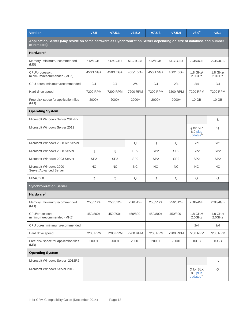| <b>Version</b>                                                                                                                    | V7.5            | V7.5.1          | v7.5.2          | V7.5.3          | v7.5.4          | v8.0 <sup>5</sup>                              | v8.1               |  |  |
|-----------------------------------------------------------------------------------------------------------------------------------|-----------------|-----------------|-----------------|-----------------|-----------------|------------------------------------------------|--------------------|--|--|
| Application Server (May reside on same hardware as Synchronization Server depending on size of database and number<br>of remotes) |                 |                 |                 |                 |                 |                                                |                    |  |  |
| Hardware <sup>1</sup>                                                                                                             |                 |                 |                 |                 |                 |                                                |                    |  |  |
| Memory: minimum/recommended<br>(MB)                                                                                               | 512/1GB+        | 512/1GB+        | 512/1GB+        | 512/1GB+        | 512/1GB+        | 2GB/4GB                                        | 2GB/4GB            |  |  |
| CPU/processor:<br>minimum/recommended (MHZ)                                                                                       | 450/1.5G+       | 450/1.5G+       | 450/1.5G+       | 450/1.5G+       | 450/1.5G+       | 1.8 GHz/<br>2.0GHz                             | 1.8 GHz/<br>2.0GHz |  |  |
| CPU cores: minimum/recommended                                                                                                    | 2/4             | 2/4             | 2/4             | 2/4             | 2/4             | 2/4                                            | 2/4                |  |  |
| Hard drive speed                                                                                                                  | 7200 RPM        | 7200 RPM        | 7200 RPM        | 7200 RPM        | 7200 RPM        | 7200 RPM                                       | 7200 RPM           |  |  |
| Free disk space for application files<br>(MB)                                                                                     | $2000+$         | $2000+$         | $2000+$         | $2000+$         | $2000+$         | 10 GB                                          | 10 GB              |  |  |
| <b>Operating System</b>                                                                                                           |                 |                 |                 |                 |                 |                                                |                    |  |  |
| Microsoft Windows Server 2012R2                                                                                                   |                 |                 |                 |                 |                 |                                                | S                  |  |  |
| Microsoft Windows Server 2012                                                                                                     |                 |                 |                 |                 |                 | Q for SLX<br>8.0 plus<br>update <sup>24</sup>  | Q                  |  |  |
| Microsoft Windows 2008 R2 Server                                                                                                  |                 |                 | Q               | Q               | Q               | SP <sub>1</sub>                                | SP <sub>1</sub>    |  |  |
| Microsoft Windows 2008 Server                                                                                                     | Q               | Q               | SP <sub>2</sub> | SP <sub>2</sub> | SP <sub>2</sub> | SP <sub>2</sub>                                | SP <sub>2</sub>    |  |  |
| Microsoft Windows 2003 Server                                                                                                     | SP <sub>2</sub> | SP <sub>2</sub> | SP <sub>2</sub> | SP <sub>2</sub> | SP <sub>2</sub> | SP <sub>2</sub>                                | SP <sub>2</sub>    |  |  |
| Microsoft Windows 2000<br>Server/Advanced Server                                                                                  | <b>NC</b>       | <b>NC</b>       | <b>NC</b>       | <b>NC</b>       | <b>NC</b>       | <b>NC</b>                                      | <b>NC</b>          |  |  |
| <b>MDAC 2.8</b>                                                                                                                   | Q               | Q               | Q               | Q               | Q               | Q                                              | Q                  |  |  |
| <b>Synchronization Server</b>                                                                                                     |                 |                 |                 |                 |                 |                                                |                    |  |  |
| Hardware <sup>1</sup>                                                                                                             |                 |                 |                 |                 |                 |                                                |                    |  |  |
| Memory: minimum/recommended<br>(MB)                                                                                               | 256/512+        | 256/512+        | 256/512+        | 256/512+        | 256/512+        | 2GB/4GB                                        | 2GB/4GB            |  |  |
| CPU/processor:<br>minimum/recommended (MHZ)                                                                                       | 450/800+        | 450/800+        | 450/800+        | 450/800+        | 450/800+        | 1.8 GHz/<br>2.0GHz                             | 1.8 GHz/<br>2.0GHz |  |  |
| CPU cores: minimum/recommended                                                                                                    |                 |                 |                 |                 |                 | 2/4                                            | 2/4                |  |  |
| Hard drive speed                                                                                                                  | 7200 RPM        | 7200 RPM        | 7200 RPM        | 7200 RPM        | 7200 RPM        | 7200 RPM                                       | 7200 RPM           |  |  |
| Free disk space for application files<br>(MB)                                                                                     | $2000+$         | $2000+$         | $2000+$         | $2000+$         | $2000+$         | 10GB                                           | 10GB               |  |  |
| <b>Operating System</b>                                                                                                           |                 |                 |                 |                 |                 |                                                |                    |  |  |
| Microsoft Windows Server 2012R2                                                                                                   |                 |                 |                 |                 |                 |                                                | S                  |  |  |
| Microsoft Windows Server 2012                                                                                                     |                 |                 |                 |                 |                 | Q for SLX<br>8.0 plus<br>updates <sup>24</sup> | Q                  |  |  |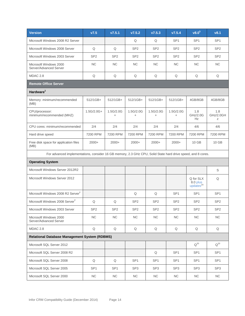| <b>Version</b>                                                                                               | V7.5            | V7.5.1                 | V7.5.2                 | V7.5.3          | V7.5.4                 | v8.0 <sup>5</sup>                             | v8.1                  |  |  |
|--------------------------------------------------------------------------------------------------------------|-----------------|------------------------|------------------------|-----------------|------------------------|-----------------------------------------------|-----------------------|--|--|
| Microsoft Windows 2008 R2 Server                                                                             |                 |                        | Q                      | Q               | SP <sub>1</sub>        | SP <sub>1</sub>                               | SP <sub>1</sub>       |  |  |
| Microsoft Windows 2008 Server                                                                                | Q               | Q                      | SP <sub>2</sub>        | SP <sub>2</sub> | SP <sub>2</sub>        | SP <sub>2</sub>                               | SP <sub>2</sub>       |  |  |
| Microsoft Windows 2003 Server                                                                                | SP <sub>2</sub> | SP <sub>2</sub>        | SP <sub>2</sub>        | SP <sub>2</sub> | SP <sub>2</sub>        | SP <sub>2</sub>                               | SP <sub>2</sub>       |  |  |
| Microsoft Windows 2000<br>Server/Advanced Server                                                             | <b>NC</b>       | <b>NC</b>              | <b>NC</b>              | <b>NC</b>       | <b>NC</b>              | NC.                                           | <b>NC</b>             |  |  |
| MDAC <sub>2.8</sub>                                                                                          | $\mathsf Q$     | Q                      | Q                      | Q               | Q                      | Q                                             | Q                     |  |  |
| <b>Remote Office Server</b>                                                                                  |                 |                        |                        |                 |                        |                                               |                       |  |  |
| Hardware <sup>1</sup>                                                                                        |                 |                        |                        |                 |                        |                                               |                       |  |  |
| Memory: minimum/recommended<br>(MB)                                                                          | 512/1GB+        | 512/1GB+               | 512/1GB+               | 512/1GB+        | 512/1GB+               | 4GB/8GB                                       | 4GB/8GB               |  |  |
| CPU/processor:<br>minimum/recommended (MHZ)                                                                  | $1.5G/2.0G+$    | 1.5G/2.0G<br>$\ddot{}$ | 1.5G/2.0G<br>$\ddot{}$ | 1.5G/2.0G       | 1.5G/2.0G<br>$\ddot{}$ | 1.8<br>GHz/2.0G<br>Hz                         | 1.8<br>GHz/2.0GH<br>Ζ |  |  |
| CPU cores: minimum/recommended                                                                               | 2/4             | 2/4                    | 2/4                    | 2/4             | 2/4                    | 4/6                                           | 4/6                   |  |  |
| Hard drive speed                                                                                             | 7200 RPM        | 7200 RPM               | 7200 RPM               | 7200 RPM        | 7200 RPM               | 7200 RPM                                      | 7200 RPM              |  |  |
| Free disk space for application files<br>(MB)                                                                | $2000+$         | $2000+$                | $2000+$                | $2000+$         | $2000+$                | 10 GB                                         | 10 GB                 |  |  |
| For advanced implementations, consider 16 GB memory, 2.3 GHz CPU, Solid State hard drive speed, and 8 cores. |                 |                        |                        |                 |                        |                                               |                       |  |  |
| <b>Operating System</b>                                                                                      |                 |                        |                        |                 |                        |                                               |                       |  |  |
| Microsoft Windows Server 2012R2                                                                              |                 |                        |                        |                 |                        |                                               | S                     |  |  |
| Microsoft Windows Server 2012                                                                                |                 |                        |                        |                 |                        | Q for SLX<br>8.0 plus<br>update <sup>24</sup> | Q                     |  |  |
| Microsoft Windows 2008 R2 Server <sup>7</sup>                                                                |                 |                        | Q                      | Q               | SP <sub>1</sub>        | SP <sub>1</sub>                               | SP <sub>1</sub>       |  |  |
| Microsoft Windows 2008 Server <sup>7</sup>                                                                   | Q               | Q                      | SP <sub>2</sub>        | SP <sub>2</sub> | SP <sub>2</sub>        | SP <sub>2</sub>                               | SP <sub>2</sub>       |  |  |
| Microsoft Windows 2003 Server                                                                                | SP <sub>2</sub> | SP <sub>2</sub>        | SP <sub>2</sub>        | SP <sub>2</sub> | SP <sub>2</sub>        | SP <sub>2</sub>                               | SP <sub>2</sub>       |  |  |
| Microsoft Windows 2000<br>Server/Advanced Server                                                             | <b>NC</b>       | NC                     | NC                     | NC              | NC                     | <b>NC</b>                                     | NC                    |  |  |
| MDAC 2.8                                                                                                     | Q               | Q                      | Q                      | Q               | $\mathsf Q$            | Q                                             | Q                     |  |  |
| <b>Relational Database Management System (RDBMS)</b>                                                         |                 |                        |                        |                 |                        |                                               |                       |  |  |
| Microsoft SQL Server 2012                                                                                    |                 |                        |                        |                 |                        | $Q^{20}$                                      | $Q^{20}$              |  |  |
| Microsoft SQL Server 2008 R2                                                                                 |                 |                        |                        | Q               | SP <sub>1</sub>        | SP <sub>1</sub>                               | SP <sub>1</sub>       |  |  |
| Microsoft SQL Server 2008                                                                                    | Q               | Q                      | SP <sub>1</sub>        | SP <sub>1</sub> | SP <sub>1</sub>        | SP <sub>1</sub>                               | SP <sub>1</sub>       |  |  |
| Microsoft SQL Server 2005                                                                                    | SP <sub>1</sub> | SP <sub>1</sub>        | SP <sub>3</sub>        | SP <sub>3</sub> | SP <sub>3</sub>        | SP <sub>3</sub>                               | SP <sub>3</sub>       |  |  |
| Microsoft SQL Server 2000                                                                                    | <b>NC</b>       | NC                     | NC                     | NC              | NC                     | <b>NC</b>                                     | NC                    |  |  |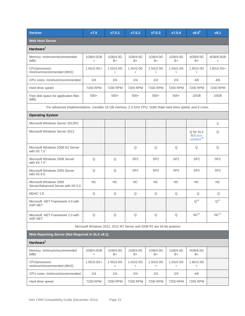| <b>Version</b>                                                                                               | V7.5                                                                  | V7.5.1           | V7.5.2                 | V7.5.3           | V7.5.4           | v8.0 <sup>5</sup>                              | v8.1                   |  |
|--------------------------------------------------------------------------------------------------------------|-----------------------------------------------------------------------|------------------|------------------------|------------------|------------------|------------------------------------------------|------------------------|--|
| <b>Web Host Server</b>                                                                                       |                                                                       |                  |                        |                  |                  |                                                |                        |  |
| Hardware <sup>1</sup>                                                                                        |                                                                       |                  |                        |                  |                  |                                                |                        |  |
| Memory: minimum/recommended<br>(MB)                                                                          | 1GB/4.0GB<br>$+$                                                      | 1GB/4.0G<br>B+   | 1GB/4.0G<br>B+         | 1GB/4.0G<br>$B+$ | 1GB/4.0G<br>B+   | 4GB/8.0G<br>B+                                 | 4GB/8.0GB<br>$\ddot{}$ |  |
| CPU/processor:<br>minimum/recommended (MHZ)                                                                  | $1.5G/2.0G+$                                                          | 1.5G/2.0G<br>$+$ | 1.5G/2.0G<br>$\ddot{}$ | 1.5G/2.0G<br>$+$ | 1.5G/2.0G<br>$+$ | 1.8G/2.0G<br>$+$                               | $1.8G/2.0G+$           |  |
| CPU cores: minimum/recommended                                                                               | 2/4                                                                   | 2/4              | 2/4                    | 2/4              | 2/4              | 4/6                                            | 4/6                    |  |
| Hard drive speed                                                                                             | 7200 RPM                                                              | 7200 RPM         | 7200 RPM               | 7200 RPM         | 7200 RPM         | 7200 RPM                                       | 7200 RPM               |  |
| Free disk space for application files<br>(MB)                                                                | $500+$                                                                | $500+$           | $500+$                 | $500+$           | $500+$           | 10GB                                           | 10GB                   |  |
| For advanced implementations, consider 16 GB memory, 2.3 GHz CPU, Solid State hard drive speed, and 8 cores. |                                                                       |                  |                        |                  |                  |                                                |                        |  |
| <b>Operating System</b>                                                                                      |                                                                       |                  |                        |                  |                  |                                                |                        |  |
| Microsoft Windows Server 2012R2                                                                              |                                                                       |                  |                        |                  |                  |                                                | S                      |  |
| Microsoft Windows Server 2012                                                                                |                                                                       |                  |                        |                  |                  | Q for SLX<br>8.0 plus<br>updates <sup>24</sup> | Q                      |  |
| Microsoft Windows 2008 R2 Server<br>with IIS $7.5^7$                                                         |                                                                       |                  | Q                      | Q                | Q                | Q                                              | Q                      |  |
| Microsoft Windows 2008 Server<br>with IIS $7.0^7$                                                            | Q                                                                     | Q                | SP <sub>2</sub>        | SP <sub>2</sub>  | SP <sub>2</sub>  | SP <sub>2</sub>                                | SP <sub>2</sub>        |  |
| Microsoft Windows 2003 Server<br>with IIS 6.0                                                                | Q                                                                     | Q                | SP <sub>2</sub>        | SP <sub>2</sub>  | SP <sub>2</sub>  | SP <sub>2</sub>                                | SP <sub>2</sub>        |  |
| Microsoft Windows 2000<br>Server/Advanced Server with IIS 5.0                                                | NC                                                                    | <b>NC</b>        | <b>NC</b>              | <b>NC</b>        | <b>NC</b>        | <b>NC</b>                                      | <b>NC</b>              |  |
| MDAC 2.8                                                                                                     | Q                                                                     | Q                | Q                      | Q                | Q                | Q                                              | Q                      |  |
| Microsoft .NET Framework 4.0 with<br>ASP.NET                                                                 |                                                                       |                  |                        |                  |                  | $Q^{19}$                                       | $Q^{21}$               |  |
| Microsoft .NET Framework 2.0 with<br>ASP.NET                                                                 | Q                                                                     | Q                | Q                      | Q                | Q                | NC <sup>21</sup>                               | NC <sup>21</sup>       |  |
|                                                                                                              | Microsoft Windows 2012, 2012 R2 Server and 2008 R2 are 64-bit systems |                  |                        |                  |                  |                                                |                        |  |
| Web Reporting Server (Not Required in SLX v8.1)                                                              |                                                                       |                  |                        |                  |                  |                                                |                        |  |
| Hardware <sup>1</sup>                                                                                        |                                                                       |                  |                        |                  |                  |                                                |                        |  |
| Memory: minimum/recommended<br>(MB)                                                                          | 1GB/4.0GB<br>$\ddot{}$                                                | 1GB/4.0G<br>B+   | 1GB/4.0G<br>B+         | 1GB/4.0G<br>B+   | 1GB/4.0G<br>B+   | 4GB/8.0G<br>B+                                 |                        |  |
| CPU/processor:<br>minimum/recommended (MHZ)                                                                  | $1.5G/2.0G+$                                                          | 1.5G/2.0G<br>$+$ | 1.5G/2.0G<br>$+$       | 1.5G/2.0G<br>$+$ | 1.5G/2.0G<br>$+$ | 1.8G/2.0G<br>$+$                               |                        |  |
| CPU cores: minimum/recommended                                                                               | 2/4                                                                   | 2/4              | 2/4                    | 2/4              | 2/4              | 4/6                                            |                        |  |
| Hard drive speed                                                                                             | 7200 RPM                                                              | 7200 RPM         | 7200 RPM               | 7200 RPM         | 7200 RPM         | 7200 RPM                                       |                        |  |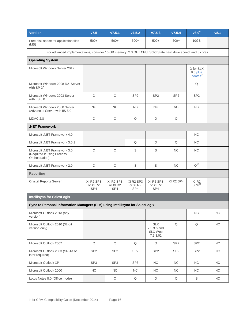| <b>Version</b>                                                                                               | V7.5                         | V7.5.1                       | V7.5.2                       | V7.5.3                                               | V7.5.4                | $v8.0^{5}$                                    | v8.1     |  |  |
|--------------------------------------------------------------------------------------------------------------|------------------------------|------------------------------|------------------------------|------------------------------------------------------|-----------------------|-----------------------------------------------|----------|--|--|
| Free disk space for application files<br>(MB)                                                                | $500+$                       | $500+$                       | $500+$                       | $500+$                                               | $500+$                | 10GB                                          |          |  |  |
| For advanced implementations, consider 16 GB memory, 2.3 GHz CPU, Solid State hard drive speed, and 8 cores. |                              |                              |                              |                                                      |                       |                                               |          |  |  |
| <b>Operating System</b>                                                                                      |                              |                              |                              |                                                      |                       |                                               |          |  |  |
| Microsoft Windows Server 2012                                                                                |                              |                              |                              |                                                      |                       | Q for SLX<br>8.0 plus<br>update <sup>24</sup> |          |  |  |
| Microsoft Windows 2008 R2 Server<br>with $SP 2^8$                                                            |                              |                              |                              |                                                      |                       | Q                                             |          |  |  |
| Microsoft Windows 2003 Server<br>with IIS 6.0                                                                | Q                            | Q                            | SP <sub>2</sub>              | SP <sub>2</sub>                                      | SP <sub>2</sub>       | SP <sub>2</sub>                               |          |  |  |
| Microsoft Windows 2000 Server<br>/Advanced Server with IIS 5.0                                               | <b>NC</b>                    | NC                           | <b>NC</b>                    | <b>NC</b>                                            | NC                    | <b>NC</b>                                     |          |  |  |
| <b>MDAC 2.8</b>                                                                                              | Q                            | Q                            | Q                            | Q                                                    | Q                     |                                               |          |  |  |
| <b>NET Framework</b>                                                                                         |                              |                              |                              |                                                      |                       |                                               |          |  |  |
| Microsoft .NET Framework 4.0                                                                                 |                              |                              |                              |                                                      |                       | <b>NC</b>                                     |          |  |  |
| Microsoft .NET Framework 3.5.1                                                                               |                              |                              | Q                            | Q                                                    | Q                     | <b>NC</b>                                     |          |  |  |
| Microsoft .NET Framework 3.0<br>(Required if using Process<br>Orchestration)                                 | Q                            | Q                            | S                            | S                                                    | NC                    | <b>NC</b>                                     |          |  |  |
| Microsoft .NET Framework 2.0                                                                                 | Q                            | Q                            | $\mathbb S$                  | S                                                    | NC                    | $Q^{16}$                                      |          |  |  |
| <b>Reporting</b>                                                                                             |                              |                              |                              |                                                      |                       |                                               |          |  |  |
| <b>Crystal Reports Server</b>                                                                                | XI R2 SP3<br>or XI R2<br>SP4 | XI R2 SP3<br>or XI R2<br>SP4 | XI R2 SP3<br>or XI R2<br>SP4 | XI R <sub>2</sub> SP <sub>3</sub><br>or XI R2<br>SP4 | XI R2 SP4             | XI <sub>R2</sub><br>$SP4^{22}$                |          |  |  |
| <b>Intellisync for SalesLogix</b>                                                                            |                              |                              |                              |                                                      |                       |                                               |          |  |  |
| Sync to Personal Information Managers (PIM) using Intellisync for SalesLogix                                 |                              |                              |                              |                                                      |                       |                                               |          |  |  |
| Microsoft Outlook 2013 (any<br>version)                                                                      |                              |                              |                              |                                                      |                       | NC                                            | NC       |  |  |
| Microsoft Outlook 2010 (32-bit<br>version only)                                                              |                              |                              |                              | <b>SLX</b><br>7.5.3.6 and<br>SLX Web<br>7.5.3.02     | $\hbox{\large \bf Q}$ | Q                                             | $\sf NC$ |  |  |
| Microsoft Outlook 2007                                                                                       | $\mathsf Q$                  | Q                            | Q                            | Q                                                    | SP <sub>2</sub>       | SP <sub>2</sub>                               | $NC$     |  |  |
| Microsoft Outlook 2003 (SR-1a or<br>later required)                                                          | SP <sub>2</sub>              | SP <sub>2</sub>              | SP <sub>2</sub>              | SP <sub>2</sub>                                      | SP <sub>2</sub>       | SP <sub>2</sub>                               | NC       |  |  |
| Microsoft Outlook XP                                                                                         | SP <sub>3</sub>              | SP <sub>3</sub>              | SP <sub>3</sub>              | NC                                                   | $\sf NC$              | $NC$                                          | NC       |  |  |
| Microsoft Outlook 2000                                                                                       | <b>NC</b>                    | NC                           | NC                           | NC                                                   | NC                    | <b>NC</b>                                     | NC       |  |  |
| Lotus Notes 8.0 (Office mode)                                                                                |                              | Q                            | Q                            | Q                                                    | Q                     | S                                             | NC       |  |  |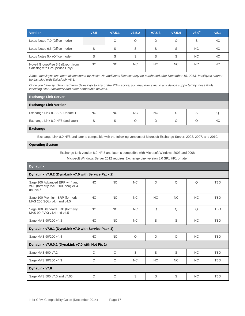| <b>Version</b>                                                                                                                                                                        | V7.5                                                                               | V7.5.1                                              | V7.5.2    | V7.5.3    | V7.5.4      | v8.0 <sup>5</sup> | v8.1       |  |  |  |  |  |  |  |  |
|---------------------------------------------------------------------------------------------------------------------------------------------------------------------------------------|------------------------------------------------------------------------------------|-----------------------------------------------------|-----------|-----------|-------------|-------------------|------------|--|--|--|--|--|--|--|--|
| Lotus Notes 7.0 (Office mode)                                                                                                                                                         |                                                                                    | Q                                                   | Q         | Q         | Q           | S                 | <b>NC</b>  |  |  |  |  |  |  |  |  |
| Lotus Notes 6.5 (Office mode)                                                                                                                                                         | S                                                                                  | S                                                   | S         | S         | S           | <b>NC</b>         | <b>NC</b>  |  |  |  |  |  |  |  |  |
| Lotus Notes 5.x (Office mode)                                                                                                                                                         | S                                                                                  | S                                                   | S         | S         | S           | <b>NC</b>         | <b>NC</b>  |  |  |  |  |  |  |  |  |
| Novell GroupWise 5.5 (Export from<br>Saleslogix to GroupWise Only)                                                                                                                    | <b>NC</b>                                                                          | <b>NC</b>                                           | <b>NC</b> | <b>NC</b> | <b>NC</b>   | <b>NC</b>         | <b>NC</b>  |  |  |  |  |  |  |  |  |
| Alert: Intellisync has been discontinued by Nokia. No additional licenses may be purchased after December 15, 2013. Intellisync cannot<br>be installed with Saleslogix v8.1.          |                                                                                    |                                                     |           |           |             |                   |            |  |  |  |  |  |  |  |  |
| Once you have synchronized from Saleslogix to any of the PIMs above, you may now sync to any device supported by those PIMs<br>including RIM Blackberry and other compatible devices. |                                                                                    |                                                     |           |           |             |                   |            |  |  |  |  |  |  |  |  |
| <b>Exchange Link Server</b>                                                                                                                                                           |                                                                                    |                                                     |           |           |             |                   |            |  |  |  |  |  |  |  |  |
| <b>Exchange Link Version</b>                                                                                                                                                          |                                                                                    |                                                     |           |           |             |                   |            |  |  |  |  |  |  |  |  |
| Exchange Link 8.0 SP2 Update 1                                                                                                                                                        | <b>NC</b>                                                                          | <b>NC</b>                                           | <b>NC</b> | <b>NC</b> | S           | S                 | Q          |  |  |  |  |  |  |  |  |
| Exchange Link 8.0 HF5 (and later)                                                                                                                                                     | S                                                                                  | S                                                   | Q         | Q         | Q           | Q                 | <b>NC</b>  |  |  |  |  |  |  |  |  |
| <b>Exchange</b>                                                                                                                                                                       |                                                                                    |                                                     |           |           |             |                   |            |  |  |  |  |  |  |  |  |
| Exchange Link 8.0 HF5 and later is compatible with the following versions of Microsoft Exchange Server: 2003, 2007, and 2010.                                                         |                                                                                    |                                                     |           |           |             |                   |            |  |  |  |  |  |  |  |  |
| <b>Operating System</b>                                                                                                                                                               |                                                                                    |                                                     |           |           |             |                   |            |  |  |  |  |  |  |  |  |
| Exchange Link version 8.0 HF 5 and later is compatible with Microsoft Windows 2003 and 2008.                                                                                          |                                                                                    |                                                     |           |           |             |                   |            |  |  |  |  |  |  |  |  |
|                                                                                                                                                                                       | Microsoft Windows Server 2012 requires Exchange Link version 8.0 SP1 HF1 or later. |                                                     |           |           |             |                   |            |  |  |  |  |  |  |  |  |
| <b>DynaLink</b>                                                                                                                                                                       |                                                                                    |                                                     |           |           |             |                   |            |  |  |  |  |  |  |  |  |
|                                                                                                                                                                                       |                                                                                    | DynaLink v7.0.2 (DynaLink v7.0 with Service Pack 2) |           |           |             |                   |            |  |  |  |  |  |  |  |  |
| Sage 100 Advanced ERP v4.4 and<br>v4.5 (formerly MAS 200 PVX) v4.4                                                                                                                    |                                                                                    |                                                     |           |           |             |                   |            |  |  |  |  |  |  |  |  |
| and $v4.5$                                                                                                                                                                            | <b>NC</b>                                                                          | <b>NC</b>                                           | <b>NC</b> | Q         | Q           | Q                 | <b>TBD</b> |  |  |  |  |  |  |  |  |
| Sage 100 Premium ERP (formerly<br>MAS 200 SQL) v4.4 and v4.5                                                                                                                          | <b>NC</b>                                                                          | <b>NC</b>                                           | <b>NC</b> | <b>NC</b> | <b>NC</b>   | <b>NC</b>         | <b>TBD</b> |  |  |  |  |  |  |  |  |
| Sage 100 Standard ERP (formerly<br>MAS 90 PVX) v4.4 and v4.5                                                                                                                          | NC                                                                                 | <b>NC</b>                                           | <b>NC</b> | Q         | Q           | Q                 | TBD        |  |  |  |  |  |  |  |  |
| Sage MAS 90/200 v4.3                                                                                                                                                                  | NC                                                                                 | NC                                                  | NC        | S         | $\mathbb S$ | NC                | <b>TBD</b> |  |  |  |  |  |  |  |  |
| DynaLink v7.0.1 (DynaLink v7.0 with Service Pack 1)                                                                                                                                   |                                                                                    |                                                     |           |           |             |                   |            |  |  |  |  |  |  |  |  |
| Sage MAS 90/200 v4.4                                                                                                                                                                  | NC                                                                                 | NC                                                  | Q         | Q         | Q           | NC.               | <b>TBD</b> |  |  |  |  |  |  |  |  |
| DynaLink v7.0.0.1 (DynaLink v7.0 with Hot Fix 1)                                                                                                                                      |                                                                                    |                                                     |           |           |             |                   |            |  |  |  |  |  |  |  |  |
| Sage MAS 500 v7.2                                                                                                                                                                     | Q                                                                                  | Q                                                   | S         | S         | $\mathbb S$ | NC                | <b>TBD</b> |  |  |  |  |  |  |  |  |
| Sage MAS 90/200 v4.3                                                                                                                                                                  | Q                                                                                  | Q                                                   | NC        | NC        | NC          | NC.               | <b>TBD</b> |  |  |  |  |  |  |  |  |
| DynaLink v7.0                                                                                                                                                                         |                                                                                    |                                                     |           |           |             |                   |            |  |  |  |  |  |  |  |  |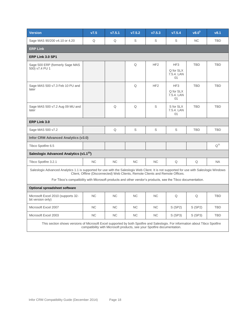| <b>Version</b>                                                                                                                                                                                                                                            | V7.5                                                                           | V7.5.1    | V7.5.2    | V7.5.3          | V7.5.4                                           | v8.0 <sup>5</sup> | v8.1       |  |
|-----------------------------------------------------------------------------------------------------------------------------------------------------------------------------------------------------------------------------------------------------------|--------------------------------------------------------------------------------|-----------|-----------|-----------------|--------------------------------------------------|-------------------|------------|--|
| Sage MAS 90/200 v4.10 or 4.20                                                                                                                                                                                                                             | Q                                                                              | Q         | S         | S               | S                                                | <b>NC</b>         | <b>TBD</b> |  |
| <b>ERP Link</b>                                                                                                                                                                                                                                           |                                                                                |           |           |                 |                                                  |                   |            |  |
| ERP Link 3.0 SP1                                                                                                                                                                                                                                          |                                                                                |           |           |                 |                                                  |                   |            |  |
| Sage 500 ERP (formerly Sage MAS<br>500) v7.4 PU 1                                                                                                                                                                                                         |                                                                                |           | Q         | HF <sub>2</sub> | HF <sub>3</sub><br>Q for SLX<br>7.5.4. LAN<br>01 | <b>TBD</b>        | <b>TBD</b> |  |
| Sage MAS 500 v7.3 Feb 10 PU and<br>later                                                                                                                                                                                                                  |                                                                                |           | Q         | HF <sub>2</sub> | HF <sub>3</sub><br>Q for SLX<br>7.5.4. LAN<br>01 | <b>TBD</b>        | <b>TBD</b> |  |
| Sage MAS 500 v7.2 Aug 09 MU and<br>later                                                                                                                                                                                                                  |                                                                                | Q         | Q         | S               | S for SLX<br>7.5.4. LAN<br>01                    | <b>TBD</b>        | <b>TBD</b> |  |
| ERP Link 3.0                                                                                                                                                                                                                                              |                                                                                |           |           |                 |                                                  |                   |            |  |
| Sage MAS 500 v7.2                                                                                                                                                                                                                                         |                                                                                | Q         | S         | S               | S                                                | <b>TBD</b>        | <b>TBD</b> |  |
| <b>Infor CRM Advanced Analytics (v3.0)</b>                                                                                                                                                                                                                |                                                                                |           |           |                 |                                                  |                   |            |  |
| Tibco Spotfire 6.5                                                                                                                                                                                                                                        |                                                                                |           |           |                 |                                                  |                   | $Q^{31}$   |  |
| Saleslogix Advanced Analytics (v1.1 <sup>23</sup> )                                                                                                                                                                                                       |                                                                                |           |           |                 |                                                  |                   |            |  |
| Tibco Spotfire 3.2.1                                                                                                                                                                                                                                      | NC.                                                                            | <b>NC</b> | <b>NC</b> | <b>NC</b>       | Q                                                | Q                 | <b>NA</b>  |  |
| Saleslogix Advanced Analytics 1.1 is supported for use with the Saleslogix Web Client. It is not supported for use with Saleslogix Windows<br>For Tibco's compatibility with Microsoft products and other vendor's products, see the Tibco documentation. | Client, Offline (Disconnected) Web Clients, Remote Clients and Remote Offices. |           |           |                 |                                                  |                   |            |  |
| Optional spreadsheet software                                                                                                                                                                                                                             |                                                                                |           |           |                 |                                                  |                   |            |  |
| Microsoft Excel 2010 (supports 32-<br>bit version only)                                                                                                                                                                                                   | <b>NC</b>                                                                      | <b>NC</b> | <b>NC</b> | <b>NC</b>       | Q                                                | Q                 | <b>TBD</b> |  |
| Microsoft Excel 2007                                                                                                                                                                                                                                      | NC.                                                                            | <b>NC</b> | <b>NC</b> | NC.             | S(SP2)                                           | S(SP2)            | <b>TBD</b> |  |
| Microsoft Excel 2003                                                                                                                                                                                                                                      | NC                                                                             | NC        | <b>NC</b> | <b>NC</b>       | S (SP3)                                          | S (SP3)           | <b>TBD</b> |  |
| This section shows versions of Microsoft Excel supported by both Spotfire and Saleslogix. For information about Tibco Spotfire                                                                                                                            | compatibility with Microsoft products, see your Spotfire documentation.        |           |           |                 |                                                  |                   |            |  |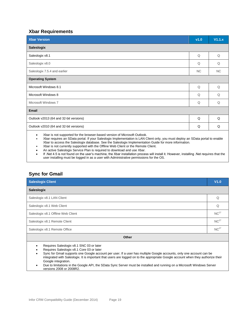## **Xbar Requirements**

| <b>Xbar Version</b>                                                                       | v1.0      | V1.1.x    |  |  |  |  |  |  |
|-------------------------------------------------------------------------------------------|-----------|-----------|--|--|--|--|--|--|
| <b>Saleslogix</b>                                                                         |           |           |  |  |  |  |  |  |
| Saleslogix v8.1                                                                           | Q         | Q         |  |  |  |  |  |  |
| Saleslogix v8.0                                                                           | Q         | Q         |  |  |  |  |  |  |
| Saleslogix 7.5.4 and earlier                                                              | <b>NC</b> | <b>NC</b> |  |  |  |  |  |  |
| <b>Operating System</b>                                                                   |           |           |  |  |  |  |  |  |
| Microsoft Windows 8.1                                                                     | Q         | Q         |  |  |  |  |  |  |
| Microsoft Windows 8                                                                       | Q         | Q         |  |  |  |  |  |  |
| Microsoft Windows 7                                                                       | Q         | Q         |  |  |  |  |  |  |
| <b>Email</b>                                                                              |           |           |  |  |  |  |  |  |
| Outlook v2013 (64 and 32-bit versions)                                                    | Q         | Q         |  |  |  |  |  |  |
| Outlook v2010 (64 and 32-bit versions)                                                    | Q         | Q         |  |  |  |  |  |  |
| Yhor is not supported for the browser based version of Microsoft Qutlook<br>$\sim$ $\sim$ |           |           |  |  |  |  |  |  |

Xbar is not supported for the browser-based version of Microsoft Outlook.

 Xbar requires an SData portal. If your Saleslogix Implementation is LAN Client only, you must deploy an SData portal to enable Xbar to access the Saleslogix database. See the Saleslogix Implementation Guide for more information.

- Xbar is not currently supported with the Offline Web Client or the Remote Client.
- An active Saleslogix Service Plan is required to download and use Xbar.
- If .Net 4.5 is not found on the user's machine, the Xbar installation process will install it. However, installing .Net requires that the user installing must be logged in as a user with Administrative permissions for the OS.

# **Sync for Gmail**

| <b>Saleslogix Client</b>                 | V1.0             |  |  |  |  |
|------------------------------------------|------------------|--|--|--|--|
| Saleslogix                               |                  |  |  |  |  |
| Saleslogix v8.1 LAN Client               | Q                |  |  |  |  |
| Saleslogix v8.1 Web Client               | Q                |  |  |  |  |
| Saleslogix v8.1 Offline Web Client       | NC <sup>27</sup> |  |  |  |  |
| Saleslogix v8.1 Remote Client            | NC <sup>27</sup> |  |  |  |  |
| Saleslogix v8.1 Remote Office            | NC <sup>27</sup> |  |  |  |  |
| Other                                    |                  |  |  |  |  |
| Requires Saleslogix v8.1 SNC 03 or later |                  |  |  |  |  |

- Requires Saleslogix v8.1 Core 03 or later
- Sync for Gmail supports one Google account per user. If a user has multiple Google accounts, only one account can be integrated with Saleslogix. It is important that users are logged on to the appropriate Google account when they authorize their Google integration.
- Due to limitations in the Google API, the SData Sync Server must be installed and running on a Microsoft Windows Server versions 2008 or 2008R2.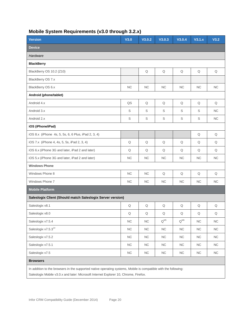<span id="page-19-0"></span>

| <b>Version</b>                                                                                                                                                                                          | V3.0        | V3.0.2      | V3.0.3      | V3.0.4      | V3.1.x      | V3.2       |
|---------------------------------------------------------------------------------------------------------------------------------------------------------------------------------------------------------|-------------|-------------|-------------|-------------|-------------|------------|
| <b>Device</b>                                                                                                                                                                                           |             |             |             |             |             |            |
| Hardware                                                                                                                                                                                                |             |             |             |             |             |            |
| <b>BlackBerry</b>                                                                                                                                                                                       |             |             |             |             |             |            |
| BlackBerry OS 10.2 (Z10)                                                                                                                                                                                |             | Q           | Q           | Q           | Q           | Q          |
| BlackBerry OS 7.x                                                                                                                                                                                       |             |             |             |             |             |            |
| BlackBerry OS 6.x                                                                                                                                                                                       | NC          | NC          | <b>NC</b>   | NC          | NC.         | NC         |
| Android (phone/tablet)                                                                                                                                                                                  |             |             |             |             |             |            |
| Android 4.x                                                                                                                                                                                             | QS          | Q           | Q           | Q           | Q           | Q          |
| Android 3.x                                                                                                                                                                                             | $\mathbb S$ | $\mathbb S$ | S           | S           | S           | <b>NC</b>  |
| Android 2.x                                                                                                                                                                                             | $\mathbb S$ | $\mathbb S$ | $\mathbb S$ | $\mathbb S$ | $\mathbb S$ | NC         |
| iOS (iPhone/iPad)                                                                                                                                                                                       |             |             |             |             |             |            |
| iOS 8.x (iPhone 4s, 5, 5s, 6, 6 Plus, iPad 2, 3, 4)                                                                                                                                                     |             |             |             |             | $\mathsf Q$ | Q          |
| iOS 7.x (iPhone 4, 4s, 5, 5s, iPad 2, 3, 4)                                                                                                                                                             | Q           | Q           | Q           | Q           | Q           | Q          |
| iOS 6.x (iPhone 3G and later, iPad 2 and later)                                                                                                                                                         | Q           | Q           | Q           | Q           | Q           | Q          |
| iOS 5.x (iPhone 3G and later, iPad 2 and later)                                                                                                                                                         | NC          | NC          | <b>NC</b>   | NC          | <b>NC</b>   | NC         |
| <b>Windows Phone</b>                                                                                                                                                                                    |             |             |             |             |             |            |
| Windows Phone 8                                                                                                                                                                                         | NC          | NC          | Q           | Q           | Q           | Q          |
| Windows Phone 7                                                                                                                                                                                         | NC          | NC          | <b>NC</b>   | NC          | NC          | NC         |
| <b>Mobile Platform</b>                                                                                                                                                                                  |             |             |             |             |             |            |
| Saleslogix Client (Should match Saleslogix Server version)                                                                                                                                              |             |             |             |             |             |            |
| Saleslogix v8.1                                                                                                                                                                                         | Q           | Q           | Q           | Q           | Q           | Q          |
| Saleslogix v8.0                                                                                                                                                                                         | Q           | ${\sf Q}$   | Q           | Q           | Q           | Q          |
| Saleslogix v7.5.4                                                                                                                                                                                       | <b>NC</b>   | NC          | $Q^{M5}$    | $Q^{M6}$    | <b>NC</b>   | NC         |
| Saleslogix v7.5.3 <sup>14</sup>                                                                                                                                                                         | NC          | <b>NC</b>   | <b>NC</b>   | <b>NC</b>   | <b>NC</b>   | <b>NC</b>  |
| Saleslogix v7.5.2                                                                                                                                                                                       | NC          | ${\sf NC}$  | ${\sf NC}$  | <b>NC</b>   | ${\sf NC}$  | NC         |
| Saleslogix v7.5.1                                                                                                                                                                                       | ${\sf NC}$  | NC          | ${\sf NC}$  | NC          | ${\sf NC}$  | NC         |
| Saleslogix v7.5                                                                                                                                                                                         | ${\sf NC}$  | ${\sf NC}$  | ${\sf NC}$  | <b>NC</b>   | <b>NC</b>   | ${\sf NC}$ |
| <b>Browsers</b>                                                                                                                                                                                         |             |             |             |             |             |            |
| In addition to the browsers in the supported native operating systems, Mobile is compatible with the following:<br>Saleslogix Mobile v3.0.x and later: Microsoft Internet Explorer 10, Chrome, Firefox. |             |             |             |             |             |            |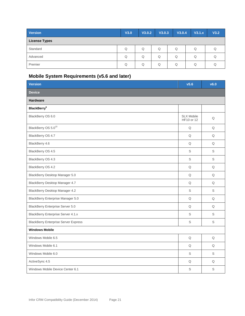| Version              | V3.0 | V3.0.2 | V3.0.3 | V3.0.4 | V3.1.x | V3.2 |
|----------------------|------|--------|--------|--------|--------|------|
| <b>License Types</b> |      |        |        |        |        |      |
| Standard             | Q    | Q      | Q      | Q      | Q      |      |
| Advanced             | Q    | Q      | Q      | Q      | Q      |      |
| Premier              | Q    | Q      | Q      | Q      | Q      |      |

# <span id="page-20-0"></span>**Mobile System Requirements (v5.6 and later)**

| <b>Version</b>                              | v5.6                            | v6.0        |  |  |  |
|---------------------------------------------|---------------------------------|-------------|--|--|--|
| <b>Device</b>                               |                                 |             |  |  |  |
| Hardware                                    |                                 |             |  |  |  |
| <b>BlackBerry</b> <sup>9</sup>              |                                 |             |  |  |  |
| BlackBerry OS 6.0                           | <b>SLX Mobile</b><br>HF10 or 12 | Q           |  |  |  |
| BlackBerry OS 5.0 <sup>10</sup>             | $\hbox{\large \bf Q}$           | Q           |  |  |  |
| BlackBerry OS 4.7                           | $\mathsf Q$                     | $\mathsf Q$ |  |  |  |
| BlackBerry 4.6                              | Q                               | Q           |  |  |  |
| BlackBerry OS 4.5                           | $\mathbb S$                     | $\mathsf S$ |  |  |  |
| BlackBerry OS 4.3                           | S                               | S           |  |  |  |
| BlackBerry OS 4.2                           | Q                               | Q           |  |  |  |
| BlackBerry Desktop Manager 5.0              | Q                               | $\mathsf Q$ |  |  |  |
| BlackBerry Desktop Manager 4.7              | Q                               | Q           |  |  |  |
| BlackBerry Desktop Manager 4.2              | S                               | S           |  |  |  |
| BlackBerry Enterprise Manager 5.0           | Q                               | $\mathsf Q$ |  |  |  |
| <b>BlackBerry Enterprise Server 5.0</b>     | Q                               | Q           |  |  |  |
| <b>BlackBerry Enterprise Server 4.1.x</b>   | S                               | S           |  |  |  |
| <b>BlackBerry Enterprise Server Express</b> | S                               | S           |  |  |  |
| <b>Windows Mobile</b>                       |                                 |             |  |  |  |
| Windows Mobile 6.5                          | Q                               | Q           |  |  |  |
| Windows Mobile 6.1                          | $\mathsf Q$                     | $\mathsf Q$ |  |  |  |
| Windows Mobile 6.0                          | $\mathsf S$                     | S           |  |  |  |
| ActiveSync 4.5                              | Q                               | Q           |  |  |  |
| Windows Mobile Device Center 6.1            | S                               | S           |  |  |  |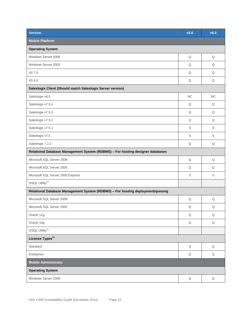| <b>Version</b>                                                                 | v5.6                  | v6.0        |  |  |  |  |
|--------------------------------------------------------------------------------|-----------------------|-------------|--|--|--|--|
| <b>Mobile Platform</b>                                                         |                       |             |  |  |  |  |
| <b>Operating System</b>                                                        |                       |             |  |  |  |  |
| Windows Server 2008                                                            | $\mathsf Q$           | Q           |  |  |  |  |
| Windows Server 2003                                                            | Q                     | Q           |  |  |  |  |
| <b>IIS 7.0</b>                                                                 | Q                     | Q           |  |  |  |  |
| <b>IIS 6.0</b>                                                                 | Q                     | Q           |  |  |  |  |
| Saleslogix Client (Should match Saleslogix Server version)                     |                       |             |  |  |  |  |
| Saleslogix v8.0                                                                | <b>NC</b>             | NC          |  |  |  |  |
| Saleslogix v7.5.4                                                              | Q                     | Q           |  |  |  |  |
| Saleslogix v7.5.3                                                              | Q                     | Q           |  |  |  |  |
| Saleslogix v7.5.2                                                              | Q                     | Q           |  |  |  |  |
| Saleslogix v7.5.1                                                              | S                     | S           |  |  |  |  |
| Saleslogix v7.5                                                                | S                     | S           |  |  |  |  |
| Saleslogix 7.2.2                                                               | Q                     | Q           |  |  |  |  |
| Relational Database Management System (RDBMS) - For hosting designer databases |                       |             |  |  |  |  |
| Microsoft SQL Server 2008                                                      | Q                     | Q           |  |  |  |  |
| Microsoft SQL Server 2005                                                      | Q                     | Q           |  |  |  |  |
| Microsoft SQL Server 2005 Express                                              | S                     | S           |  |  |  |  |
| OSQL Utility <sup>13</sup>                                                     |                       |             |  |  |  |  |
| Relational Database Management System (RDBMS) - For hosting deployment/queuing |                       |             |  |  |  |  |
| Microsoft SQL Server 2008                                                      | Q                     | Q           |  |  |  |  |
| Microsoft SQL Server 2005                                                      | $\hbox{\large \it Q}$ | Q           |  |  |  |  |
| Oracle 11g                                                                     | Q                     | $\mathsf Q$ |  |  |  |  |
| Oracle 10g                                                                     | $\mathsf Q$           | $\mathsf Q$ |  |  |  |  |
| OSQL Utility <sup>13</sup>                                                     |                       |             |  |  |  |  |
| License Types <sup>13</sup>                                                    |                       |             |  |  |  |  |
| Standard                                                                       | Q                     | $\mathsf Q$ |  |  |  |  |
| Enterprise                                                                     | $\mathsf Q$           | $\mathsf Q$ |  |  |  |  |
| <b>Mobile Administrator</b>                                                    |                       |             |  |  |  |  |
| <b>Operating System</b>                                                        |                       |             |  |  |  |  |
| Windows Server 2008                                                            | $\mathsf Q$           | $\mathsf Q$ |  |  |  |  |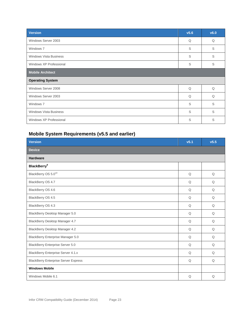| <b>Version</b>                | v5.6 | v6.0 |
|-------------------------------|------|------|
| Windows Server 2003           | Q    | Q    |
| Windows 7                     | S    | S    |
| <b>Windows Vista Business</b> | S    | S    |
| Windows XP Professional       | S    | S    |
| <b>Mobile Architect</b>       |      |      |
| <b>Operating System</b>       |      |      |
| Windows Server 2008           | Q    | Q    |
| Windows Server 2003           | Q    | Q    |
| Windows 7                     | S    | S    |
| <b>Windows Vista Business</b> | S    | S    |
| Windows XP Professional       | S    | S    |

# <span id="page-22-0"></span>**Mobile System Requirements (v5.5 and earlier)**

| <b>Version</b>                              | v5.1        | v5.5        |
|---------------------------------------------|-------------|-------------|
| <b>Device</b>                               |             |             |
| <b>Hardware</b>                             |             |             |
| <b>BlackBerry</b> <sup>9</sup>              |             |             |
| BlackBerry OS 5.0 <sup>10</sup>             | $\mathsf Q$ | $\mathsf Q$ |
| BlackBerry OS 4.7                           | Q           | Q           |
| BlackBerry OS 4.6                           | Q           | Q           |
| BlackBerry OS 4.5                           | Q           | Q           |
| BlackBerry OS 4.3                           | Q           | Q           |
| BlackBerry Desktop Manager 5.0              | Q           | Q           |
| BlackBerry Desktop Manager 4.7              | Q           | Q           |
| BlackBerry Desktop Manager 4.2              | Q           | Q           |
| <b>BlackBerry Enterprise Manager 5.0</b>    | Q           | Q           |
| <b>BlackBerry Enterprise Server 5.0</b>     | Q           | Q           |
| BlackBerry Enterprise Server 4.1.x          | Q           | Q           |
| <b>BlackBerry Enterprise Server Express</b> | Q           | Q           |
| <b>Windows Mobile</b>                       |             |             |
| Windows Mobile 6.1                          | Q           | Q           |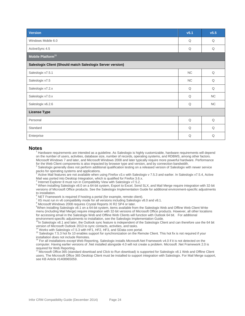| <b>Version</b>                                             | v5.1      | v5.5 |
|------------------------------------------------------------|-----------|------|
| Windows Mobile 6.0                                         | Q         | Q    |
| ActiveSync 4.5                                             | Q         | Q    |
| Mobile Platform <sup>11</sup>                              |           |      |
| Saleslogix Client (Should match Saleslogix Server version) |           |      |
| Saleslogix v7.5.1                                          | NC        | Q    |
| Saleslogix v7.5                                            | <b>NC</b> | Q    |
| Saleslogix v7.2.x                                          | Q         | Q    |
| Saleslogix v7.0.x                                          | Q         | NC   |
| Saleslogix v6.2.6                                          | Q         | NC   |
| <b>License Type</b>                                        |           |      |
| Personal                                                   | Q         | Q    |
| Standard                                                   | Q         | Q    |
| Enterprise                                                 | Q         | Q    |

## **Notes**

Hardware requirements are intended as a guideline. As Saleslogix is highly customizable, hardware requirements will depend on the number of users, activities, database size, number of records, operating systems, and RDBMS, among other factors. Microsoft Windows 7 and later, and Microsoft Windows 2008 and later typically require more powerful hardware. Performance for the Web Client components is also impacted by browser type and version, and by connection bandwidth.

<sup>2</sup> Saleslogix generally does not perform additional qualification testing on a released version of Saleslogix with newer service packs for operating systems and applications.

Active Mail features are not available when using Firefox v3.x with Saleslogix v 7.5.3 and earlier. In Saleslogix v7.5.4, Active Mail was ported into Desktop Integration, which is qualified for Firefox 3.6.x.

<sup>4</sup> Internet Explorer 8 must run in Compatibility View with Saleslogix v7.5.2.

<sup>5</sup> When installing Saleslogix v8.0 on a 64-bit system, Export to Excel, Send SLX, and Mail Merge require integration with 32-bit versions of Microsoft Office products. See the Saleslogix Implementation Guide for additional environment-specific adjustments to installation.

NET Framework is required if hosting a portal (for example, remote client).

 $7$  IIS must run in v6 compatibility mode for all versions including Saleslogix v8.0 and v8.1.

<sup>8</sup> Microsoft Windows 2008 requires Crystal Reports XI R2 SP4 or later.

<sup>9</sup>When installing Saleslogix v8.1 on a 64-bit system, items available from the Saleslogix Web and Offline Web Client Write menu (including Mail Merge) require integration with 32-bit versions of Microsoft Office products. However, all other locations for accessing email in the Saleslogix Web and Offline Web Clients will function with Outlook 64 bit. For additional environment-specific adjustments to installation, see the Saleslogix Implementation Guide.

 $10$ In Saleslogix v8.1 and later, the Outlook sync feature is independent of the Saleslogix Client and can therefore use the 64 bit version of Microsoft Outlook 2013 to sync contacts, activities, and tasks.

 $4$  Works with Saleslogix v7.5.3 with HF1, HF2, HF3, and SData core portal.

<sup>15</sup> Saleslogix 7.5.3 hot fix 10 enables support for synchronization on the Remote Client. This hot fix is not required if your installation does not include Remotes.

 $6$  For all installations except Web Reporting, Saleslogix installs Microsoft.Net Framework v4.0 if it is not detected on the computer. Having earlier versions of .Net installed alongside 4.0 will not create a problem. Microsoft .Net Framework 2.0 is required for Web Reporting.

 $17$  Microsoft Office 365 (standard download and Click to Run download) is supported for Saleslogix v8.1 Web and Offline Client users. The Microsoft Office 365 Desktop Client must be installed to support integration with Saleslogix. For Mail Merge support, see KB Article #1408965059.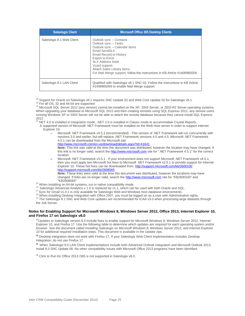| <b>Saleslogix Client</b>  | <b>Microsoft Office 365 Desktop Clients</b>                                                                                                                                                                                                                                                               |
|---------------------------|-----------------------------------------------------------------------------------------------------------------------------------------------------------------------------------------------------------------------------------------------------------------------------------------------------------|
| Saleslogix 8.1 Web Client | Outlook sync – Contacts<br>Outlook sync - Tasks<br>Outlook sync - Calendar items<br>Email SendSLX<br><b>Email Record to History</b><br>Export to Excel<br>SI X Address book<br>V card support<br>Attach Sales Library items<br>For Mail Merge support, follow the instructions in KB Article #1408965059. |
| Saleslogix 8.1 LAN Client | Qualified with Saleslogix v8.1 SNC 03. Follow the instructions in KB Article<br>#1408965059 to enable Mail Merge support.                                                                                                                                                                                 |

.<br><sup>18</sup> Support for Oracle on Saleslogix v8.1 requires SNC Update 02 and Web Core Update 02 for Saleslogix v8.1.

<sup>20</sup> Microsoft SQL Server 2012 (any version) cannot be installed on the XP, 2003 Server, or 2003 R2 Server operating systems. When upgrading your database to Microsoft SQL 2012 and then creating remotes using SQL Express 2012, any remote users running Windows XP or 2003 Server will not be able to attach the remote database because they cannot install SQL Express

2012<br><sup>21</sup> NET 4.0 is installed in Integration mode. .NET 2.0 is installed in Classic mode to accommodate Crystal Reports.

- · A supported version of Microsoft .NET Framework must be installed on the Web Host server in order to support Internet Explorer 10.
	- o Microsoft .NET Framework v4.5.1 (recommended) This version of .NET Framework will run concurrently with versions 3.5 and earlier, but will replace .NET Framework versions 4.0 and 4.5. Microsoft .NET Framework 4.5.1 can be downloaded from the Microsoft site:

<http://www.microsoft.com/en-us/download/details.aspx?id=41641> **Note:** This link was valid at the time this document was distributed, however the location may have changed. If this link is no longer valid, search the [http://www.microsoft.com](http://www.microsoft.com/) site for ".NET Framework 4.5.1" for the correct location.

o Microsoft .NET Framework v3.5.1 - If your environment does not support Microsoft .NET Framework v4.5.1, then you must apply two Microsoft hot fixes to Microsoft .NET Framework v3.5.1 to provide support for Internet Explorer 10. These hot fixes can be downloaded from: <http://support.microsoft.com/kb/2600100> <http://support.microsoft.com/kb/2608565>

**Note:** These links were valid at the time this document was distributed, however the locations may have changed. If links are no longer valid, search the [http://www.microsoft.com](http://www.microsoft.com/) site for "KB2600100" and "KB2608565".

<sup>22</sup> When installing on 64-bit systems, run in native compatibility mode.

23 Saleslogix Advanced Analytics v 1.0 is replaced by v1.1, which can be used with both Oracle and SQL.

27 Sync for Gmail v1.0.1 is only available for Saleslogix Web and Windows host database environments.

<sup>29</sup> When installing Desktop Integration with Office 2007, you must be logged on as a user with Administrative rights.

<sup>31</sup> The Saleslogix 8.1 SNC and Web Core updates are recommended for ICAA v3.0 when processing large datasets through the Job Server.

#### **Notes for Enabling Support for Microsoft Windows 8, Windows Server 2012, Office 2013, Internet Explorer 10, and Firefox 17 on Saleslogix v8.0**

 $24$ Updates to Saleslogix version 8.0 include fixes to enable support for Microsoft Windows 8, Windows Server 2012, Internet Explorer 10, and Firefox 17. Use the following table to determine which updates are required for each operating system and/or browser. See the document called *Installing Saleslogix on Microsoft Windows 8, Windows Server 2012, and Internet Explorer 10* for additional required installation steps. This document is available in the Update zips.

**<sup>25</sup>** Desktop integration does not work with Firefox 17. If your Saleslogix Web Client implementation includes Desktop Integration, do not use Firefox 17.

<sup>26</sup> When Saleslogix 8.0 LAN Client implementations include both Advanced Outlook Integration and Microsoft Outlook 2013, install 8.0 SNC Update 08. No other compatibility issues with Microsoft Office 2013 programs have been identified.

 $^{28}$  Click to Run for Office 2013 / 365 is not supported in Saleslogix v8.0.

<sup>&</sup>lt;sup>19</sup> For all OS, 32 and 64-bit are supported.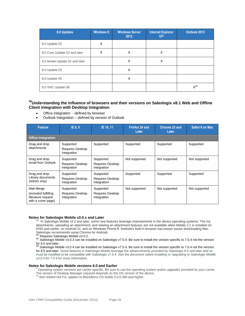| 8.0 Updates                   | <b>Windows 8</b> | <b>Windows Server</b><br>2012 | <b>Internet Explorer</b><br>1021 | Outlook 2013 |
|-------------------------------|------------------|-------------------------------|----------------------------------|--------------|
| 8.0 Update 02                 | X                |                               |                                  |              |
| 8.0 Core Update 02 and later  | X                | X                             | X                                |              |
| 8.0 Model Update 02 and later |                  | X                             | X                                |              |
| 8.0 Update 03                 |                  | X                             |                                  |              |
| 8.0 Update 05                 |                  | X                             |                                  |              |
| 8.0 SNC Update 08             |                  |                               |                                  | $X^{26}$     |

## **<sup>30</sup>Understanding the influence of browsers and their versions on Saleslogix v8.1 Web and Offline Client integration with Desktop Integration**

- Office integration defined by browser
- Outlook Integration defined by version of Outlook

| <b>Feature</b>                                                                 | IE 8.9                                              | IE 10, 11                                    | Firefox 24 and<br>Later | Chrome 23 and<br>Later | Safari 6 on Mac |
|--------------------------------------------------------------------------------|-----------------------------------------------------|----------------------------------------------|-------------------------|------------------------|-----------------|
| <b>Office Integration</b>                                                      |                                                     |                                              |                         |                        |                 |
| Drag and drop<br>attachments                                                   | Supported<br><b>Requires Desktop</b><br>Integration | Supported                                    | Supported               | Supported              | Supported       |
| Drag and drop<br>email from Outlook                                            | Supported<br><b>Requires Desktop</b><br>Integration | Supported<br>Requires Desktop<br>Integration | Not supported           | Not supported          | Not supported   |
| Drag and drop<br>Library documents<br>(Admin only)                             | Supported<br><b>Requires Desktop</b><br>Integration | Supported<br>Requires Desktop<br>Integration | Supported               | Supported              | Supported       |
| Mail Merge<br>(included fulfilling<br>literature request<br>with a cover page) | Supported<br>Requires Desktop<br>Integration        | Supported<br>Requires Desktop<br>Integration | Not supported           | Not supported          | Not supported   |

#### **Notes for Saleslogix Mobile v3.0.x and Later**

 $^{M3}$  In Saleslogix Mobile v2.2 and later, some new features leverage improvements in the device operating systems. The my attachments, uploading an attachment, and viewing an attachment features are not available when Mobile 2.2 is installed on iOS5 and earlier, on Android 2x, and on Windows Phone 8. Android's built-in browser has known issues downloading files. Saleslogix recommends using Chrome for Android.

Requires Saleslogix Mobile v3.0.2.

M5 Saleslogix Mobile v3.0.3 can be installed on Saleslogix v7.5.4. Be sure to install the version specific to 7.5.4 not the version

for 8.0 and later.<br><sup>M6</sup> Saleslogix Mobile v3.0.4 can be installed on Saleslogix v7.5.4. Be sure to install the version specific to 7.5.4 not the version for 8.0 and later. Some features in Saleslogix Mobile leverage the advancements provided by Saleslogix 8.0 and later and so must be modified to be compatible with Saleslogix v7.5.4. See the document called *Installing or Upgrading to Saleslogix Mobile v3.0.4 for 7.5.4* for more information.

#### **Notes for Saleslogix Mobile versions 6.0 and Earlier**

<sup>9</sup> Operating system versions are carrier-specific. Be sure to use the operating system and/or upgrades provided by your carrier. The version of Desktop Manager required depends on the OS version of the device. <sup>10</sup> See related Hot Fix; applies to BlackBerry OS builds 5.0.0.386 and higher.